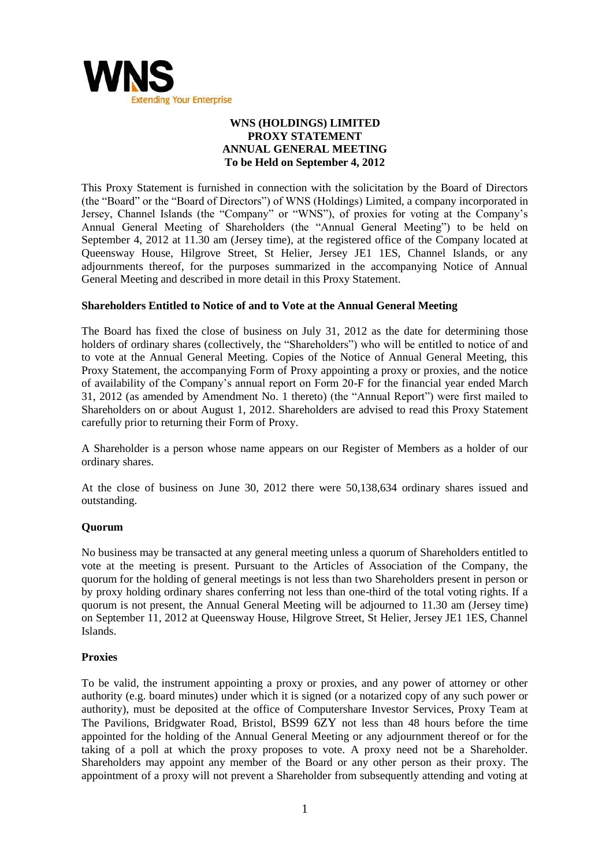

# **WNS (HOLDINGS) LIMITED PROXY STATEMENT ANNUAL GENERAL MEETING To be Held on September 4, 2012**

This Proxy Statement is furnished in connection with the solicitation by the Board of Directors (the "Board" or the "Board of Directors") of WNS (Holdings) Limited, a company incorporated in Jersey, Channel Islands (the "Company" or "WNS"), of proxies for voting at the Company's Annual General Meeting of Shareholders (the "Annual General Meeting") to be held on September 4, 2012 at 11.30 am (Jersey time), at the registered office of the Company located at Queensway House, Hilgrove Street, St Helier, Jersey JE1 1ES, Channel Islands, or any adjournments thereof, for the purposes summarized in the accompanying Notice of Annual General Meeting and described in more detail in this Proxy Statement.

## **Shareholders Entitled to Notice of and to Vote at the Annual General Meeting**

The Board has fixed the close of business on July 31, 2012 as the date for determining those holders of ordinary shares (collectively, the "Shareholders") who will be entitled to notice of and to vote at the Annual General Meeting. Copies of the Notice of Annual General Meeting, this Proxy Statement, the accompanying Form of Proxy appointing a proxy or proxies, and the notice of availability of the Company's annual report on Form 20-F for the financial year ended March 31, 2012 (as amended by Amendment No. 1 thereto) (the "Annual Report") were first mailed to Shareholders on or about August 1, 2012. Shareholders are advised to read this Proxy Statement carefully prior to returning their Form of Proxy.

A Shareholder is a person whose name appears on our Register of Members as a holder of our ordinary shares.

At the close of business on June 30, 2012 there were 50,138,634 ordinary shares issued and outstanding.

### **Quorum**

No business may be transacted at any general meeting unless a quorum of Shareholders entitled to vote at the meeting is present. Pursuant to the Articles of Association of the Company, the quorum for the holding of general meetings is not less than two Shareholders present in person or by proxy holding ordinary shares conferring not less than one-third of the total voting rights. If a quorum is not present, the Annual General Meeting will be adjourned to 11.30 am (Jersey time) on September 11, 2012 at Queensway House, Hilgrove Street, St Helier, Jersey JE1 1ES, Channel Islands.

### **Proxies**

To be valid, the instrument appointing a proxy or proxies, and any power of attorney or other authority (e.g. board minutes) under which it is signed (or a notarized copy of any such power or authority), must be deposited at the office of Computershare Investor Services, Proxy Team at The Pavilions, Bridgwater Road, Bristol, BS99 6ZY not less than 48 hours before the time appointed for the holding of the Annual General Meeting or any adjournment thereof or for the taking of a poll at which the proxy proposes to vote. A proxy need not be a Shareholder. Shareholders may appoint any member of the Board or any other person as their proxy. The appointment of a proxy will not prevent a Shareholder from subsequently attending and voting at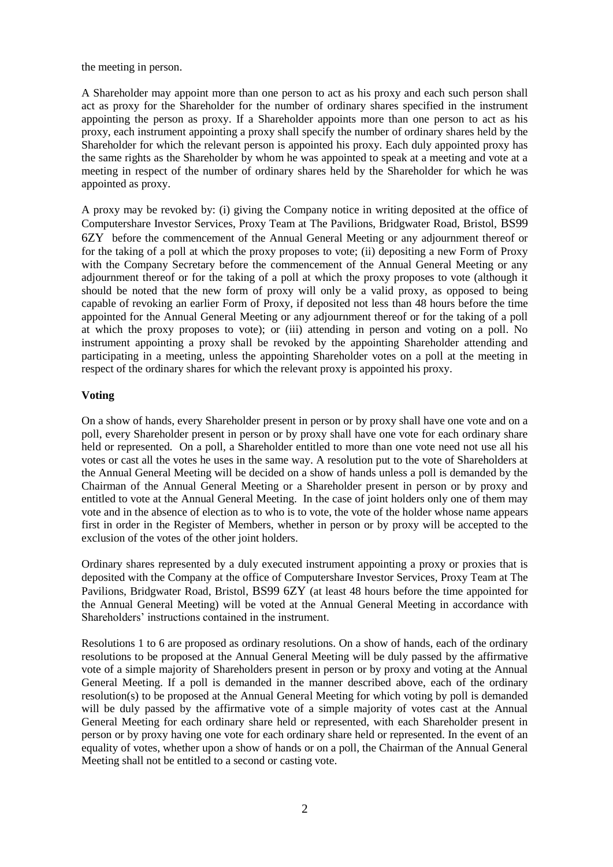the meeting in person.

A Shareholder may appoint more than one person to act as his proxy and each such person shall act as proxy for the Shareholder for the number of ordinary shares specified in the instrument appointing the person as proxy. If a Shareholder appoints more than one person to act as his proxy, each instrument appointing a proxy shall specify the number of ordinary shares held by the Shareholder for which the relevant person is appointed his proxy. Each duly appointed proxy has the same rights as the Shareholder by whom he was appointed to speak at a meeting and vote at a meeting in respect of the number of ordinary shares held by the Shareholder for which he was appointed as proxy.

A proxy may be revoked by: (i) giving the Company notice in writing deposited at the office of Computershare Investor Services, Proxy Team at The Pavilions, Bridgwater Road, Bristol, BS99 6ZY before the commencement of the Annual General Meeting or any adjournment thereof or for the taking of a poll at which the proxy proposes to vote; (ii) depositing a new Form of Proxy with the Company Secretary before the commencement of the Annual General Meeting or any adjournment thereof or for the taking of a poll at which the proxy proposes to vote (although it should be noted that the new form of proxy will only be a valid proxy, as opposed to being capable of revoking an earlier Form of Proxy, if deposited not less than 48 hours before the time appointed for the Annual General Meeting or any adjournment thereof or for the taking of a poll at which the proxy proposes to vote); or (iii) attending in person and voting on a poll. No instrument appointing a proxy shall be revoked by the appointing Shareholder attending and participating in a meeting, unless the appointing Shareholder votes on a poll at the meeting in respect of the ordinary shares for which the relevant proxy is appointed his proxy.

## **Voting**

On a show of hands, every Shareholder present in person or by proxy shall have one vote and on a poll, every Shareholder present in person or by proxy shall have one vote for each ordinary share held or represented. On a poll, a Shareholder entitled to more than one vote need not use all his votes or cast all the votes he uses in the same way. A resolution put to the vote of Shareholders at the Annual General Meeting will be decided on a show of hands unless a poll is demanded by the Chairman of the Annual General Meeting or a Shareholder present in person or by proxy and entitled to vote at the Annual General Meeting. In the case of joint holders only one of them may vote and in the absence of election as to who is to vote, the vote of the holder whose name appears first in order in the Register of Members, whether in person or by proxy will be accepted to the exclusion of the votes of the other joint holders.

Ordinary shares represented by a duly executed instrument appointing a proxy or proxies that is deposited with the Company at the office of Computershare Investor Services, Proxy Team at The Pavilions, Bridgwater Road, Bristol, BS99 6ZY (at least 48 hours before the time appointed for the Annual General Meeting) will be voted at the Annual General Meeting in accordance with Shareholders' instructions contained in the instrument.

Resolutions 1 to 6 are proposed as ordinary resolutions. On a show of hands, each of the ordinary resolutions to be proposed at the Annual General Meeting will be duly passed by the affirmative vote of a simple majority of Shareholders present in person or by proxy and voting at the Annual General Meeting. If a poll is demanded in the manner described above, each of the ordinary resolution(s) to be proposed at the Annual General Meeting for which voting by poll is demanded will be duly passed by the affirmative vote of a simple majority of votes cast at the Annual General Meeting for each ordinary share held or represented, with each Shareholder present in person or by proxy having one vote for each ordinary share held or represented. In the event of an equality of votes, whether upon a show of hands or on a poll, the Chairman of the Annual General Meeting shall not be entitled to a second or casting vote.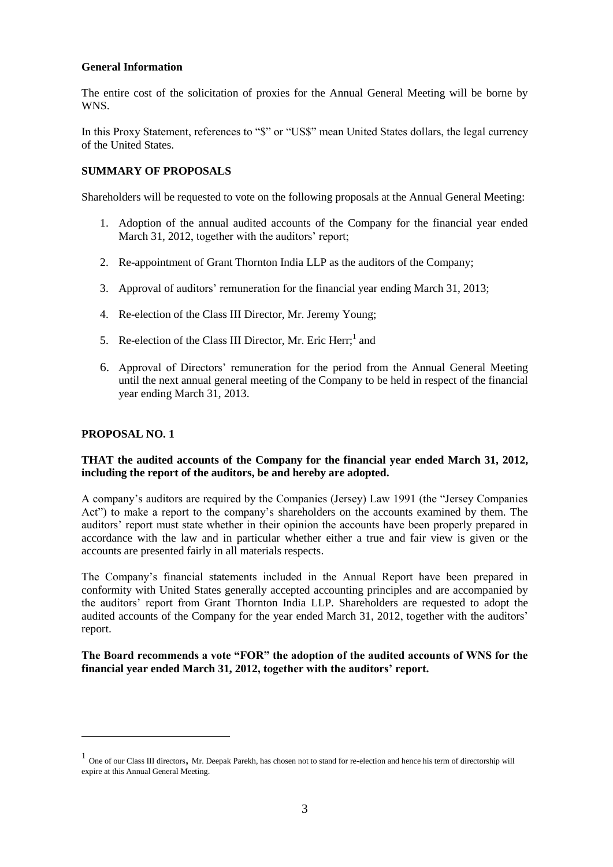### **General Information**

The entire cost of the solicitation of proxies for the Annual General Meeting will be borne by WNS.

In this Proxy Statement, references to "\$" or "US\$" mean United States dollars, the legal currency of the United States.

# **SUMMARY OF PROPOSALS**

Shareholders will be requested to vote on the following proposals at the Annual General Meeting:

- 1. Adoption of the annual audited accounts of the Company for the financial year ended March 31, 2012, together with the auditors' report;
- 2. Re-appointment of Grant Thornton India LLP as the auditors of the Company;
- 3. Approval of auditors' remuneration for the financial year ending March 31, 2013;
- 4. Re-election of the Class III Director, Mr. Jeremy Young;
- 5. Re-election of the Class III Director, Mr. Eric Herr;<sup>1</sup> and
- 6. Approval of Directors' remuneration for the period from the Annual General Meeting until the next annual general meeting of the Company to be held in respect of the financial year ending March 31, 2013.

### **PROPOSAL NO. 1**

 $\overline{a}$ 

## **THAT the audited accounts of the Company for the financial year ended March 31, 2012, including the report of the auditors, be and hereby are adopted.**

A company's auditors are required by the Companies (Jersey) Law 1991 (the "Jersey Companies" Act") to make a report to the company's shareholders on the accounts examined by them. The auditors' report must state whether in their opinion the accounts have been properly prepared in accordance with the law and in particular whether either a true and fair view is given or the accounts are presented fairly in all materials respects.

The Company's financial statements included in the Annual Report have been prepared in conformity with United States generally accepted accounting principles and are accompanied by the auditors' report from Grant Thornton India LLP. Shareholders are requested to adopt the audited accounts of the Company for the year ended March 31, 2012, together with the auditors' report.

## **The Board recommends a vote "FOR" the adoption of the audited accounts of WNS for the financial year ended March 31, 2012, together with the auditors" report.**

<sup>&</sup>lt;sup>1</sup> One of our Class III directors, Mr. Deepak Parekh, has chosen not to stand for re-election and hence his term of directorship will expire at this Annual General Meeting.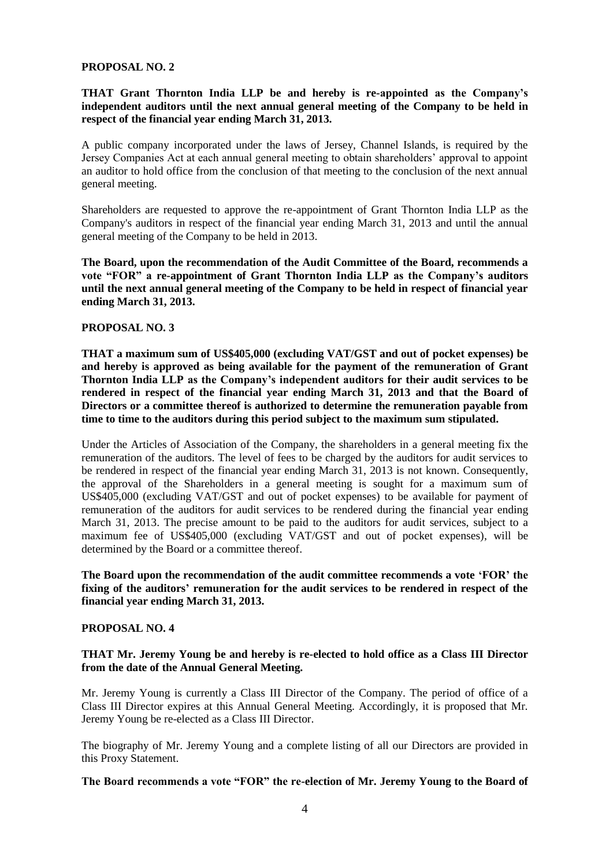#### **PROPOSAL NO. 2**

### **THAT Grant Thornton India LLP be and hereby is re-appointed as the Company"s independent auditors until the next annual general meeting of the Company to be held in respect of the financial year ending March 31, 2013.**

A public company incorporated under the laws of Jersey, Channel Islands, is required by the Jersey Companies Act at each annual general meeting to obtain shareholders' approval to appoint an auditor to hold office from the conclusion of that meeting to the conclusion of the next annual general meeting.

Shareholders are requested to approve the re-appointment of Grant Thornton India LLP as the Company's auditors in respect of the financial year ending March 31, 2013 and until the annual general meeting of the Company to be held in 2013.

**The Board, upon the recommendation of the Audit Committee of the Board, recommends a vote "FOR" a re-appointment of Grant Thornton India LLP as the Company"s auditors until the next annual general meeting of the Company to be held in respect of financial year ending March 31, 2013.**

#### **PROPOSAL NO. 3**

**THAT a maximum sum of US\$405,000 (excluding VAT/GST and out of pocket expenses) be and hereby is approved as being available for the payment of the remuneration of Grant Thornton India LLP as the Company"s independent auditors for their audit services to be rendered in respect of the financial year ending March 31, 2013 and that the Board of Directors or a committee thereof is authorized to determine the remuneration payable from time to time to the auditors during this period subject to the maximum sum stipulated.** 

Under the Articles of Association of the Company, the shareholders in a general meeting fix the remuneration of the auditors. The level of fees to be charged by the auditors for audit services to be rendered in respect of the financial year ending March 31, 2013 is not known. Consequently, the approval of the Shareholders in a general meeting is sought for a maximum sum of US\$405,000 (excluding VAT/GST and out of pocket expenses) to be available for payment of remuneration of the auditors for audit services to be rendered during the financial year ending March 31, 2013. The precise amount to be paid to the auditors for audit services, subject to a maximum fee of US\$405,000 (excluding VAT/GST and out of pocket expenses), will be determined by the Board or a committee thereof.

**The Board upon the recommendation of the audit committee recommends a vote "FOR" the fixing of the auditors" remuneration for the audit services to be rendered in respect of the financial year ending March 31, 2013.**

#### **PROPOSAL NO. 4**

### **THAT Mr. Jeremy Young be and hereby is re-elected to hold office as a Class III Director from the date of the Annual General Meeting.**

Mr. Jeremy Young is currently a Class III Director of the Company. The period of office of a Class III Director expires at this Annual General Meeting. Accordingly, it is proposed that Mr. Jeremy Young be re-elected as a Class III Director.

The biography of Mr. Jeremy Young and a complete listing of all our Directors are provided in this Proxy Statement.

#### **The Board recommends a vote "FOR" the re-election of Mr. Jeremy Young to the Board of**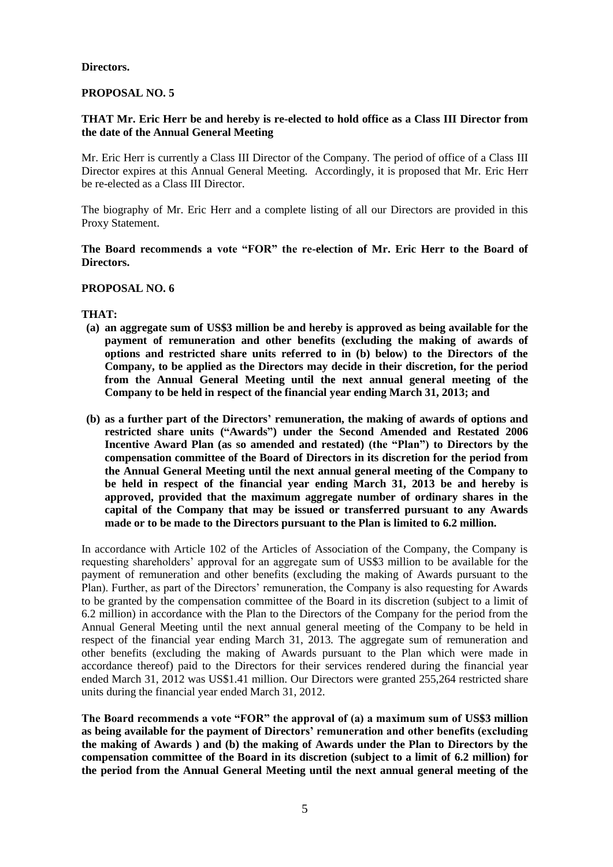#### **Directors.**

### **PROPOSAL NO. 5**

### **THAT Mr. Eric Herr be and hereby is re-elected to hold office as a Class III Director from the date of the Annual General Meeting**

Mr. Eric Herr is currently a Class III Director of the Company. The period of office of a Class III Director expires at this Annual General Meeting. Accordingly, it is proposed that Mr. Eric Herr be re-elected as a Class III Director.

The biography of Mr. Eric Herr and a complete listing of all our Directors are provided in this Proxy Statement.

### **The Board recommends a vote "FOR" the re-election of Mr. Eric Herr to the Board of Directors.**

#### **PROPOSAL NO. 6**

### **THAT:**

- **(a) an aggregate sum of US\$3 million be and hereby is approved as being available for the payment of remuneration and other benefits (excluding the making of awards of options and restricted share units referred to in (b) below) to the Directors of the Company, to be applied as the Directors may decide in their discretion, for the period from the Annual General Meeting until the next annual general meeting of the Company to be held in respect of the financial year ending March 31, 2013; and**
- **(b) as a further part of the Directors" remuneration, the making of awards of options and restricted share units ("Awards") under the Second Amended and Restated 2006 Incentive Award Plan (as so amended and restated) (the "Plan") to Directors by the compensation committee of the Board of Directors in its discretion for the period from the Annual General Meeting until the next annual general meeting of the Company to be held in respect of the financial year ending March 31, 2013 be and hereby is approved, provided that the maximum aggregate number of ordinary shares in the capital of the Company that may be issued or transferred pursuant to any Awards made or to be made to the Directors pursuant to the Plan is limited to 6.2 million.**

In accordance with Article 102 of the Articles of Association of the Company, the Company is requesting shareholders' approval for an aggregate sum of US\$3 million to be available for the payment of remuneration and other benefits (excluding the making of Awards pursuant to the Plan). Further, as part of the Directors' remuneration, the Company is also requesting for Awards to be granted by the compensation committee of the Board in its discretion (subject to a limit of 6.2 million) in accordance with the Plan to the Directors of the Company for the period from the Annual General Meeting until the next annual general meeting of the Company to be held in respect of the financial year ending March 31, 2013. The aggregate sum of remuneration and other benefits (excluding the making of Awards pursuant to the Plan which were made in accordance thereof) paid to the Directors for their services rendered during the financial year ended March 31, 2012 was US\$1.41 million. Our Directors were granted 255,264 restricted share units during the financial year ended March 31, 2012.

**The Board recommends a vote "FOR" the approval of (a) a maximum sum of US\$3 million as being available for the payment of Directors" remuneration and other benefits (excluding the making of Awards ) and (b) the making of Awards under the Plan to Directors by the compensation committee of the Board in its discretion (subject to a limit of 6.2 million) for the period from the Annual General Meeting until the next annual general meeting of the**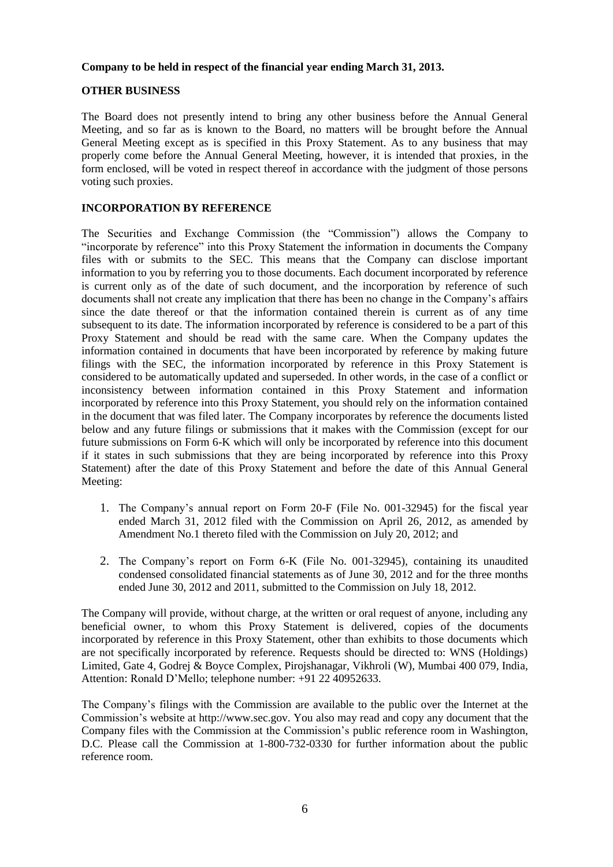### **Company to be held in respect of the financial year ending March 31, 2013.**

#### **OTHER BUSINESS**

The Board does not presently intend to bring any other business before the Annual General Meeting, and so far as is known to the Board, no matters will be brought before the Annual General Meeting except as is specified in this Proxy Statement. As to any business that may properly come before the Annual General Meeting, however, it is intended that proxies, in the form enclosed, will be voted in respect thereof in accordance with the judgment of those persons voting such proxies.

### **INCORPORATION BY REFERENCE**

The Securities and Exchange Commission (the "Commission") allows the Company to "incorporate by reference" into this Proxy Statement the information in documents the Company files with or submits to the SEC. This means that the Company can disclose important information to you by referring you to those documents. Each document incorporated by reference is current only as of the date of such document, and the incorporation by reference of such documents shall not create any implication that there has been no change in the Company's affairs since the date thereof or that the information contained therein is current as of any time subsequent to its date. The information incorporated by reference is considered to be a part of this Proxy Statement and should be read with the same care. When the Company updates the information contained in documents that have been incorporated by reference by making future filings with the SEC, the information incorporated by reference in this Proxy Statement is considered to be automatically updated and superseded. In other words, in the case of a conflict or inconsistency between information contained in this Proxy Statement and information incorporated by reference into this Proxy Statement, you should rely on the information contained in the document that was filed later. The Company incorporates by reference the documents listed below and any future filings or submissions that it makes with the Commission (except for our future submissions on Form 6-K which will only be incorporated by reference into this document if it states in such submissions that they are being incorporated by reference into this Proxy Statement) after the date of this Proxy Statement and before the date of this Annual General Meeting:

- 1. The Company's annual report on Form 20-F (File No. 001-32945) for the fiscal year ended March 31, 2012 filed with the Commission on April 26, 2012, as amended by Amendment No.1 thereto filed with the Commission on July 20, 2012; and
- 2. The Company's report on Form 6-K (File No. 001-32945), containing its unaudited condensed consolidated financial statements as of June 30, 2012 and for the three months ended June 30, 2012 and 2011, submitted to the Commission on July 18, 2012.

The Company will provide, without charge, at the written or oral request of anyone, including any beneficial owner, to whom this Proxy Statement is delivered, copies of the documents incorporated by reference in this Proxy Statement, other than exhibits to those documents which are not specifically incorporated by reference. Requests should be directed to: WNS (Holdings) Limited, Gate 4, Godrej & Boyce Complex, Pirojshanagar, Vikhroli (W), Mumbai 400 079, India, Attention: Ronald D'Mello; telephone number: +91 22 40952633.

The Company's filings with the Commission are available to the public over the Internet at the Commission's website at http://www.sec.gov. You also may read and copy any document that the Company files with the Commission at the Commission's public reference room in Washington, D.C. Please call the Commission at 1-800-732-0330 for further information about the public reference room.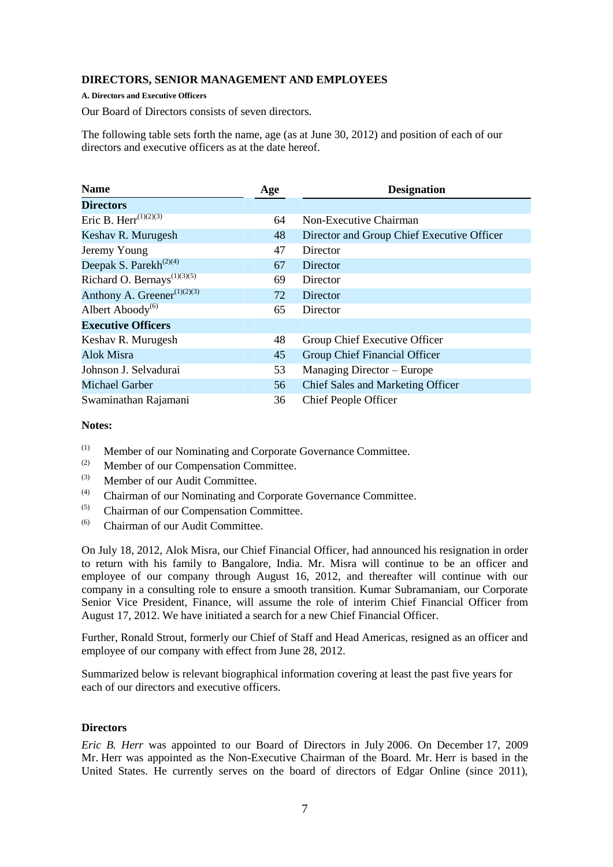### **DIRECTORS, SENIOR MANAGEMENT AND EMPLOYEES**

**A. Directors and Executive Officers**

Our Board of Directors consists of seven directors.

The following table sets forth the name, age (as at June 30, 2012) and position of each of our directors and executive officers as at the date hereof.

| <b>Name</b>                                          | Age | <b>Designation</b>                         |
|------------------------------------------------------|-----|--------------------------------------------|
| <b>Directors</b>                                     |     |                                            |
| Eric B. Herr <sup>(1)(2)(3)</sup>                    | 64  | Non-Executive Chairman                     |
| Keshav R. Murugesh                                   | 48  | Director and Group Chief Executive Officer |
| Jeremy Young                                         | 47  | Director                                   |
| Deepak S. Parekh <sup>(2)(4)</sup>                   | 67  | Director                                   |
| Richard O. Bernays <sup><math>(1)(3)(5)</math></sup> | 69  | Director                                   |
| Anthony A. Greener <sup>(1)(2)(3)</sup>              | 72  | Director                                   |
| Albert Aboody <sup><math>(6)</math></sup>            | 65  | Director                                   |
| <b>Executive Officers</b>                            |     |                                            |
| Keshav R. Murugesh                                   | 48  | Group Chief Executive Officer              |
| Alok Misra                                           | 45  | Group Chief Financial Officer              |
| Johnson J. Selvadurai                                | 53  | Managing Director – Europe                 |
| <b>Michael Garber</b>                                | 56  | Chief Sales and Marketing Officer          |
| Swaminathan Rajamani                                 | 36  | <b>Chief People Officer</b>                |

### **Notes:**

- (1) Member of our Nominating and Corporate Governance Committee.
- (2) Member of our Compensation Committee.<br>  $\frac{1}{2}$  Momber of our Audit Committee.
- Member of our Audit Committee.
- (4) Chairman of our Nominating and Corporate Governance Committee.
- (5) Chairman of our Compensation Committee.
- $(6)$  Chairman of our Audit Committee.

On July 18, 2012, Alok Misra, our Chief Financial Officer, had announced his resignation in order to return with his family to Bangalore, India. Mr. Misra will continue to be an officer and employee of our company through August 16, 2012, and thereafter will continue with our company in a consulting role to ensure a smooth transition. Kumar Subramaniam, our Corporate Senior Vice President, Finance, will assume the role of interim Chief Financial Officer from August 17, 2012. We have initiated a search for a new Chief Financial Officer.

Further, Ronald Strout, formerly our Chief of Staff and Head Americas, resigned as an officer and employee of our company with effect from June 28, 2012.

Summarized below is relevant biographical information covering at least the past five years for each of our directors and executive officers.

### **Directors**

*Eric B. Herr* was appointed to our Board of Directors in July 2006. On December 17, 2009 Mr. Herr was appointed as the Non-Executive Chairman of the Board. Mr. Herr is based in the United States. He currently serves on the board of directors of Edgar Online (since 2011),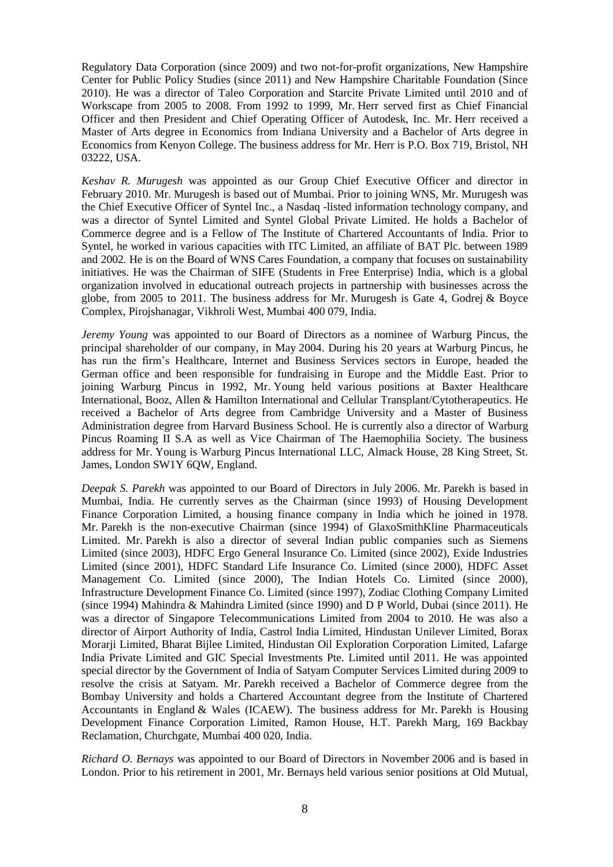Regulatory Data Corporation (since 2009) and two not-for-profit organizations, New Hampshire Center for Public Policy Studies (since 2011) and New Hampshire Charitable Foundation (Since 2010). He was a director of Taleo Corporation and Starcite Private Limited until 2010 and of Workscape from 2005 to 2008. From 1992 to 1999, Mr. Herr served first as Chief Financial Officer and then President and Chief Operating Officer of Autodesk, Inc. Mr. Herr received a Master of Arts degree in Economics from Indiana University and a Bachelor of Arts degree in Economics from Kenyon College. The business address for Mr. Herr is P.O. Box 719, Bristol, NH 03222, USA.

*Keshav R. Murugesh* was appointed as our Group Chief Executive Officer and director in February 2010. Mr. Murugesh is based out of Mumbai. Prior to joining WNS, Mr. Murugesh was the Chief Executive Officer of Syntel Inc., a Nasdaq -listed information technology company, and was a director of Syntel Limited and Syntel Global Private Limited. He holds a Bachelor of Commerce degree and is a Fellow of The Institute of Chartered Accountants of India. Prior to Syntel, he worked in various capacities with ITC Limited, an affiliate of BAT Plc. between 1989 and 2002. He is on the Board of WNS Cares Foundation, a company that focuses on sustainability initiatives. He was the Chairman of SIFE (Students in Free Enterprise) India, which is a global organization involved in educational outreach projects in partnership with businesses across the globe, from 2005 to 2011. The business address for Mr. Murugesh is Gate 4, Godrej & Boyce Complex, Pirojshanagar, Vikhroli West, Mumbai 400 079, India.

*Jeremy Young* was appointed to our Board of Directors as a nominee of Warburg Pincus, the principal shareholder of our company, in May 2004. During his 20 years at Warburg Pincus, he has run the firm's Healthcare, Internet and Business Services sectors in Europe, headed the German office and been responsible for fundraising in Europe and the Middle East. Prior to joining Warburg Pincus in 1992, Mr. Young held various positions at Baxter Healthcare International, Booz, Allen & Hamilton International and Cellular Transplant/Cytotherapeutics. He received a Bachelor of Arts degree from Cambridge University and a Master of Business Administration degree from Harvard Business School. He is currently also a director of Warburg Pincus Roaming II S.A as well as Vice Chairman of The Haemophilia Society. The business address for Mr. Young is Warburg Pincus International LLC, Almack House, 28 King Street, St. James, London SW1Y 6QW, England.

*Deepak S. Parekh* was appointed to our Board of Directors in July 2006. Mr. Parekh is based in Mumbai, India. He currently serves as the Chairman (since 1993) of Housing Development Finance Corporation Limited, a housing finance company in India which he joined in 1978. Mr. Parekh is the non-executive Chairman (since 1994) of GlaxoSmithKline Pharmaceuticals Limited. Mr. Parekh is also a director of several Indian public companies such as Siemens Limited (since 2003), HDFC Ergo General Insurance Co. Limited (since 2002), Exide Industries Limited (since 2001), HDFC Standard Life Insurance Co. Limited (since 2000), HDFC Asset Management Co. Limited (since 2000), The Indian Hotels Co. Limited (since 2000), Infrastructure Development Finance Co. Limited (since 1997), Zodiac Clothing Company Limited (since 1994) Mahindra & Mahindra Limited (since 1990) and D P World, Dubai (since 2011). He was a director of Singapore Telecommunications Limited from 2004 to 2010. He was also a director of Airport Authority of India, Castrol India Limited, Hindustan Unilever Limited, Borax Morarji Limited, Bharat Bijlee Limited, Hindustan Oil Exploration Corporation Limited, Lafarge India Private Limited and GIC Special Investments Pte. Limited until 2011. He was appointed special director by the Government of India of Satyam Computer Services Limited during 2009 to resolve the crisis at Satyam. Mr. Parekh received a Bachelor of Commerce degree from the Bombay University and holds a Chartered Accountant degree from the Institute of Chartered Accountants in England & Wales (ICAEW). The business address for Mr. Parekh is Housing Development Finance Corporation Limited, Ramon House, H.T. Parekh Marg, 169 Backbay Reclamation, Churchgate, Mumbai 400 020, India.

*Richard O. Bernays* was appointed to our Board of Directors in November 2006 and is based in London. Prior to his retirement in 2001, Mr. Bernays held various senior positions at Old Mutual,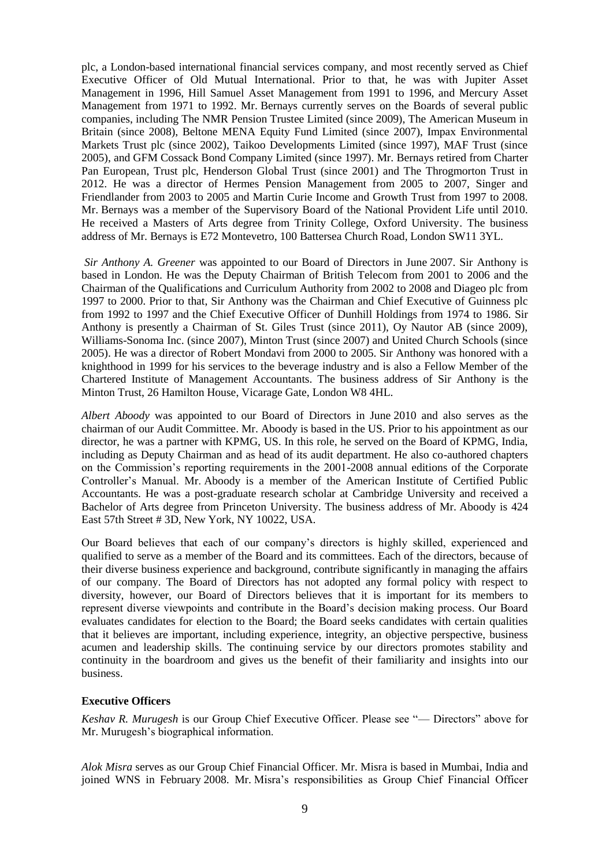plc, a London-based international financial services company, and most recently served as Chief Executive Officer of Old Mutual International. Prior to that, he was with Jupiter Asset Management in 1996, Hill Samuel Asset Management from 1991 to 1996, and Mercury Asset Management from 1971 to 1992. Mr. Bernays currently serves on the Boards of several public companies, including The NMR Pension Trustee Limited (since 2009), The American Museum in Britain (since 2008), Beltone MENA Equity Fund Limited (since 2007), Impax Environmental Markets Trust plc (since 2002), Taikoo Developments Limited (since 1997), MAF Trust (since 2005), and GFM Cossack Bond Company Limited (since 1997). Mr. Bernays retired from Charter Pan European, Trust plc, Henderson Global Trust (since 2001) and The Throgmorton Trust in 2012. He was a director of Hermes Pension Management from 2005 to 2007, Singer and Friendlander from 2003 to 2005 and Martin Curie Income and Growth Trust from 1997 to 2008. Mr. Bernays was a member of the Supervisory Board of the National Provident Life until 2010. He received a Masters of Arts degree from Trinity College, Oxford University. The business address of Mr. Bernays is E72 Montevetro, 100 Battersea Church Road, London SW11 3YL.

*Sir Anthony A. Greener* was appointed to our Board of Directors in June 2007. Sir Anthony is based in London. He was the Deputy Chairman of British Telecom from 2001 to 2006 and the Chairman of the Qualifications and Curriculum Authority from 2002 to 2008 and Diageo plc from 1997 to 2000. Prior to that, Sir Anthony was the Chairman and Chief Executive of Guinness plc from 1992 to 1997 and the Chief Executive Officer of Dunhill Holdings from 1974 to 1986. Sir Anthony is presently a Chairman of St. Giles Trust (since 2011), Oy Nautor AB (since 2009), Williams-Sonoma Inc. (since 2007), Minton Trust (since 2007) and United Church Schools (since 2005). He was a director of Robert Mondavi from 2000 to 2005. Sir Anthony was honored with a knighthood in 1999 for his services to the beverage industry and is also a Fellow Member of the Chartered Institute of Management Accountants. The business address of Sir Anthony is the Minton Trust, 26 Hamilton House, Vicarage Gate, London W8 4HL.

*Albert Aboody* was appointed to our Board of Directors in June 2010 and also serves as the chairman of our Audit Committee. Mr. Aboody is based in the US. Prior to his appointment as our director, he was a partner with KPMG, US. In this role, he served on the Board of KPMG, India, including as Deputy Chairman and as head of its audit department. He also co-authored chapters on the Commission's reporting requirements in the 2001-2008 annual editions of the Corporate Controller's Manual. Mr. Aboody is a member of the American Institute of Certified Public Accountants. He was a post-graduate research scholar at Cambridge University and received a Bachelor of Arts degree from Princeton University. The business address of Mr. Aboody is 424 East 57th Street # 3D, New York, NY 10022, USA.

Our Board believes that each of our company's directors is highly skilled, experienced and qualified to serve as a member of the Board and its committees. Each of the directors, because of their diverse business experience and background, contribute significantly in managing the affairs of our company. The Board of Directors has not adopted any formal policy with respect to diversity, however, our Board of Directors believes that it is important for its members to represent diverse viewpoints and contribute in the Board's decision making process. Our Board evaluates candidates for election to the Board; the Board seeks candidates with certain qualities that it believes are important, including experience, integrity, an objective perspective, business acumen and leadership skills. The continuing service by our directors promotes stability and continuity in the boardroom and gives us the benefit of their familiarity and insights into our business.

#### **Executive Officers**

*Keshav R. Murugesh* is our Group Chief Executive Officer. Please see "— Directors" above for Mr. Murugesh's biographical information.

*Alok Misra* serves as our Group Chief Financial Officer. Mr. Misra is based in Mumbai, India and joined WNS in February 2008. Mr. Misra's responsibilities as Group Chief Financial Officer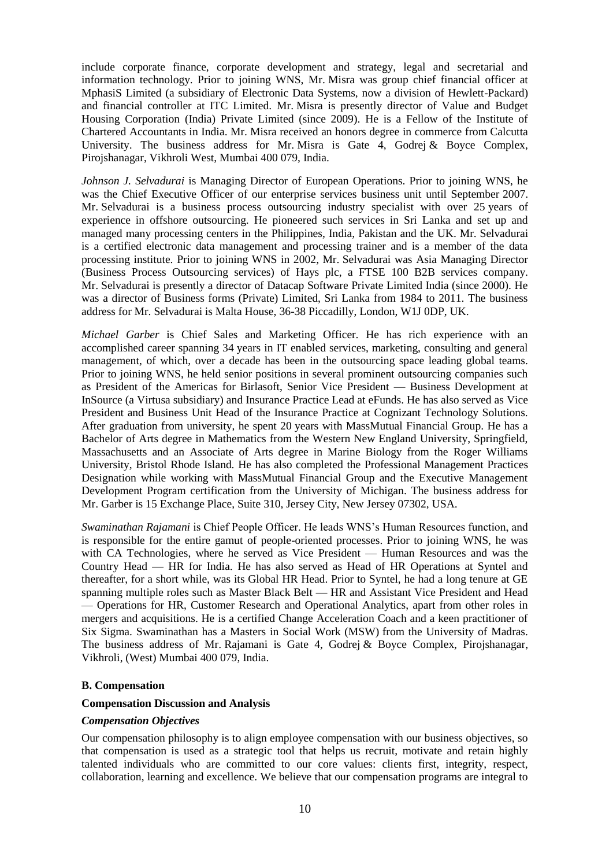include corporate finance, corporate development and strategy, legal and secretarial and information technology. Prior to joining WNS, Mr. Misra was group chief financial officer at MphasiS Limited (a subsidiary of Electronic Data Systems, now a division of Hewlett-Packard) and financial controller at ITC Limited. Mr. Misra is presently director of Value and Budget Housing Corporation (India) Private Limited (since 2009). He is a Fellow of the Institute of Chartered Accountants in India. Mr. Misra received an honors degree in commerce from Calcutta University. The business address for Mr. Misra is Gate 4, Godrej & Boyce Complex, Pirojshanagar, Vikhroli West, Mumbai 400 079, India.

*Johnson J. Selvadurai* is Managing Director of European Operations. Prior to joining WNS, he was the Chief Executive Officer of our enterprise services business unit until September 2007. Mr. Selvadurai is a business process outsourcing industry specialist with over 25 years of experience in offshore outsourcing. He pioneered such services in Sri Lanka and set up and managed many processing centers in the Philippines, India, Pakistan and the UK. Mr. Selvadurai is a certified electronic data management and processing trainer and is a member of the data processing institute. Prior to joining WNS in 2002, Mr. Selvadurai was Asia Managing Director (Business Process Outsourcing services) of Hays plc, a FTSE 100 B2B services company. Mr. Selvadurai is presently a director of Datacap Software Private Limited India (since 2000). He was a director of Business forms (Private) Limited, Sri Lanka from 1984 to 2011. The business address for Mr. Selvadurai is Malta House, 36-38 Piccadilly, London, W1J 0DP, UK.

*Michael Garber* is Chief Sales and Marketing Officer. He has rich experience with an accomplished career spanning 34 years in IT enabled services, marketing, consulting and general management, of which, over a decade has been in the outsourcing space leading global teams. Prior to joining WNS, he held senior positions in several prominent outsourcing companies such as President of the Americas for Birlasoft, Senior Vice President — Business Development at InSource (a Virtusa subsidiary) and Insurance Practice Lead at eFunds. He has also served as Vice President and Business Unit Head of the Insurance Practice at Cognizant Technology Solutions. After graduation from university, he spent 20 years with MassMutual Financial Group. He has a Bachelor of Arts degree in Mathematics from the Western New England University, Springfield, Massachusetts and an Associate of Arts degree in Marine Biology from the Roger Williams University, Bristol Rhode Island. He has also completed the Professional Management Practices Designation while working with MassMutual Financial Group and the Executive Management Development Program certification from the University of Michigan. The business address for Mr. Garber is 15 Exchange Place, Suite 310, Jersey City, New Jersey 07302, USA.

*Swaminathan Rajamani* is Chief People Officer. He leads WNS's Human Resources function, and is responsible for the entire gamut of people-oriented processes. Prior to joining WNS, he was with CA Technologies, where he served as Vice President — Human Resources and was the Country Head — HR for India. He has also served as Head of HR Operations at Syntel and thereafter, for a short while, was its Global HR Head. Prior to Syntel, he had a long tenure at GE spanning multiple roles such as Master Black Belt — HR and Assistant Vice President and Head — Operations for HR, Customer Research and Operational Analytics, apart from other roles in mergers and acquisitions. He is a certified Change Acceleration Coach and a keen practitioner of Six Sigma. Swaminathan has a Masters in Social Work (MSW) from the University of Madras. The business address of Mr. Rajamani is Gate 4, Godrej & Boyce Complex, Pirojshanagar, Vikhroli, (West) Mumbai 400 079, India.

#### **B. Compensation**

#### **Compensation Discussion and Analysis**

#### *Compensation Objectives*

Our compensation philosophy is to align employee compensation with our business objectives, so that compensation is used as a strategic tool that helps us recruit, motivate and retain highly talented individuals who are committed to our core values: clients first, integrity, respect, collaboration, learning and excellence. We believe that our compensation programs are integral to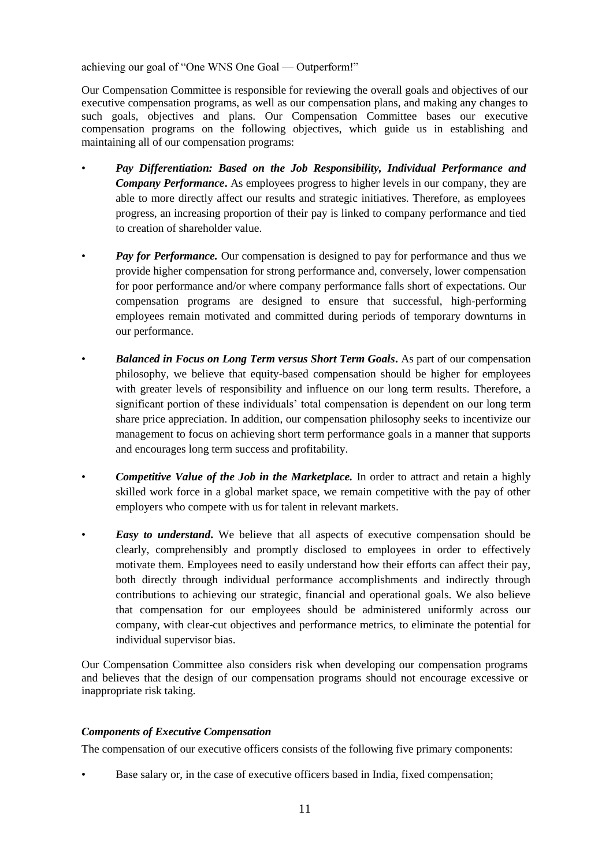achieving our goal of "One WNS One Goal — Outperform!"

Our Compensation Committee is responsible for reviewing the overall goals and objectives of our executive compensation programs, as well as our compensation plans, and making any changes to such goals, objectives and plans. Our Compensation Committee bases our executive compensation programs on the following objectives, which guide us in establishing and maintaining all of our compensation programs:

- *Pay Differentiation: Based on the Job Responsibility, Individual Performance and Company Performance***.** As employees progress to higher levels in our company, they are able to more directly affect our results and strategic initiatives. Therefore, as employees progress, an increasing proportion of their pay is linked to company performance and tied to creation of shareholder value.
- *Pay for Performance.* Our compensation is designed to pay for performance and thus we provide higher compensation for strong performance and, conversely, lower compensation for poor performance and/or where company performance falls short of expectations. Our compensation programs are designed to ensure that successful, high-performing employees remain motivated and committed during periods of temporary downturns in our performance.
- *Balanced in Focus on Long Term versus Short Term Goals***.** As part of our compensation philosophy, we believe that equity-based compensation should be higher for employees with greater levels of responsibility and influence on our long term results. Therefore, a significant portion of these individuals' total compensation is dependent on our long term share price appreciation. In addition, our compensation philosophy seeks to incentivize our management to focus on achieving short term performance goals in a manner that supports and encourages long term success and profitability.
- *Competitive Value of the Job in the Marketplace.* In order to attract and retain a highly skilled work force in a global market space, we remain competitive with the pay of other employers who compete with us for talent in relevant markets.
- *Easy to understand***.** We believe that all aspects of executive compensation should be clearly, comprehensibly and promptly disclosed to employees in order to effectively motivate them. Employees need to easily understand how their efforts can affect their pay, both directly through individual performance accomplishments and indirectly through contributions to achieving our strategic, financial and operational goals. We also believe that compensation for our employees should be administered uniformly across our company, with clear-cut objectives and performance metrics, to eliminate the potential for individual supervisor bias.

Our Compensation Committee also considers risk when developing our compensation programs and believes that the design of our compensation programs should not encourage excessive or inappropriate risk taking.

# *Components of Executive Compensation*

The compensation of our executive officers consists of the following five primary components:

• Base salary or, in the case of executive officers based in India, fixed compensation;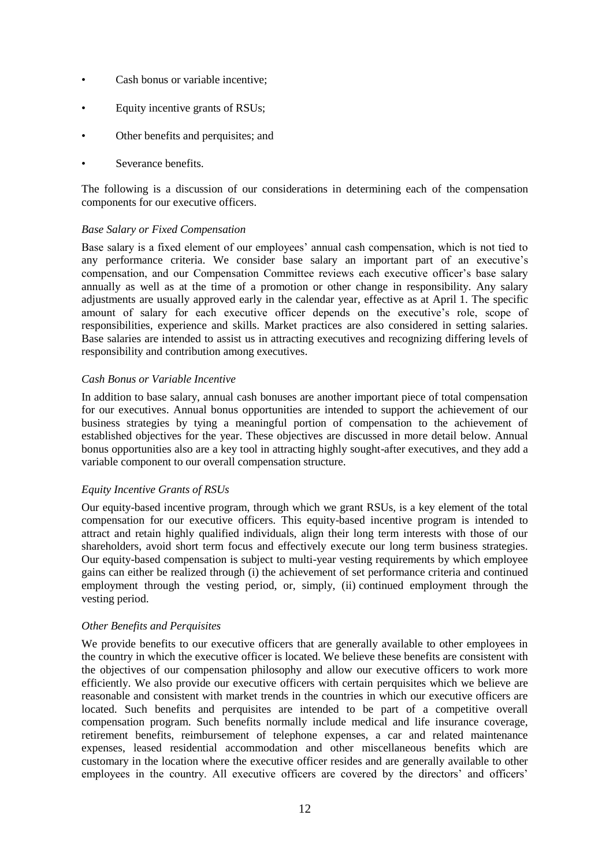- Cash bonus or variable incentive;
- Equity incentive grants of RSUs;
- Other benefits and perquisites; and
- Severance benefits.

The following is a discussion of our considerations in determining each of the compensation components for our executive officers.

## *Base Salary or Fixed Compensation*

Base salary is a fixed element of our employees' annual cash compensation, which is not tied to any performance criteria. We consider base salary an important part of an executive's compensation, and our Compensation Committee reviews each executive officer's base salary annually as well as at the time of a promotion or other change in responsibility. Any salary adjustments are usually approved early in the calendar year, effective as at April 1. The specific amount of salary for each executive officer depends on the executive's role, scope of responsibilities, experience and skills. Market practices are also considered in setting salaries. Base salaries are intended to assist us in attracting executives and recognizing differing levels of responsibility and contribution among executives.

## *Cash Bonus or Variable Incentive*

In addition to base salary, annual cash bonuses are another important piece of total compensation for our executives. Annual bonus opportunities are intended to support the achievement of our business strategies by tying a meaningful portion of compensation to the achievement of established objectives for the year. These objectives are discussed in more detail below. Annual bonus opportunities also are a key tool in attracting highly sought-after executives, and they add a variable component to our overall compensation structure.

### *Equity Incentive Grants of RSUs*

Our equity-based incentive program, through which we grant RSUs, is a key element of the total compensation for our executive officers. This equity-based incentive program is intended to attract and retain highly qualified individuals, align their long term interests with those of our shareholders, avoid short term focus and effectively execute our long term business strategies. Our equity-based compensation is subject to multi-year vesting requirements by which employee gains can either be realized through (i) the achievement of set performance criteria and continued employment through the vesting period, or, simply, (ii) continued employment through the vesting period.

### *Other Benefits and Perquisites*

We provide benefits to our executive officers that are generally available to other employees in the country in which the executive officer is located. We believe these benefits are consistent with the objectives of our compensation philosophy and allow our executive officers to work more efficiently. We also provide our executive officers with certain perquisites which we believe are reasonable and consistent with market trends in the countries in which our executive officers are located. Such benefits and perquisites are intended to be part of a competitive overall compensation program. Such benefits normally include medical and life insurance coverage, retirement benefits, reimbursement of telephone expenses, a car and related maintenance expenses, leased residential accommodation and other miscellaneous benefits which are customary in the location where the executive officer resides and are generally available to other employees in the country. All executive officers are covered by the directors' and officers'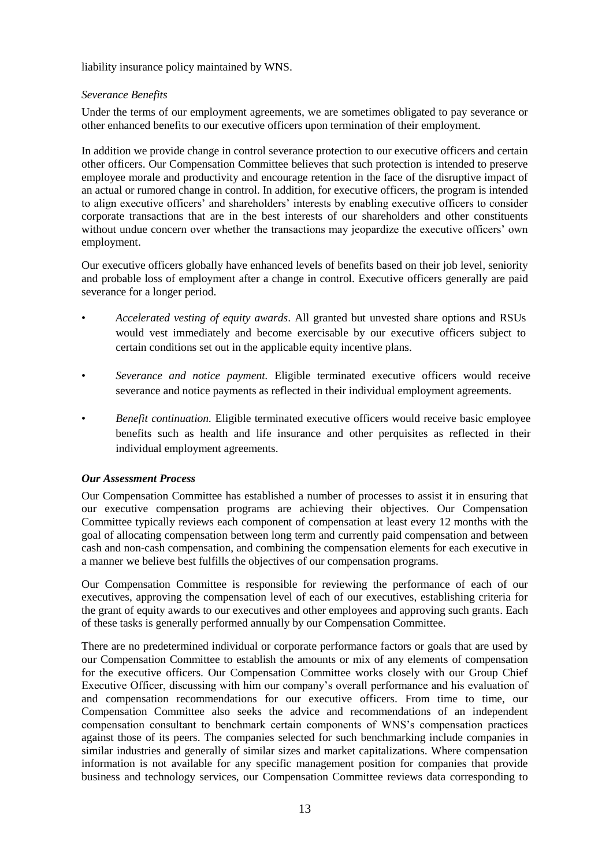liability insurance policy maintained by WNS.

# *Severance Benefits*

Under the terms of our employment agreements, we are sometimes obligated to pay severance or other enhanced benefits to our executive officers upon termination of their employment.

In addition we provide change in control severance protection to our executive officers and certain other officers. Our Compensation Committee believes that such protection is intended to preserve employee morale and productivity and encourage retention in the face of the disruptive impact of an actual or rumored change in control. In addition, for executive officers, the program is intended to align executive officers' and shareholders' interests by enabling executive officers to consider corporate transactions that are in the best interests of our shareholders and other constituents without undue concern over whether the transactions may jeopardize the executive officers' own employment.

Our executive officers globally have enhanced levels of benefits based on their job level, seniority and probable loss of employment after a change in control. Executive officers generally are paid severance for a longer period.

- *Accelerated vesting of equity awards*. All granted but unvested share options and RSUs would vest immediately and become exercisable by our executive officers subject to certain conditions set out in the applicable equity incentive plans.
- *Severance and notice payment.* Eligible terminated executive officers would receive severance and notice payments as reflected in their individual employment agreements.
- *Benefit continuation.* Eligible terminated executive officers would receive basic employee benefits such as health and life insurance and other perquisites as reflected in their individual employment agreements.

### *Our Assessment Process*

Our Compensation Committee has established a number of processes to assist it in ensuring that our executive compensation programs are achieving their objectives. Our Compensation Committee typically reviews each component of compensation at least every 12 months with the goal of allocating compensation between long term and currently paid compensation and between cash and non-cash compensation, and combining the compensation elements for each executive in a manner we believe best fulfills the objectives of our compensation programs.

Our Compensation Committee is responsible for reviewing the performance of each of our executives, approving the compensation level of each of our executives, establishing criteria for the grant of equity awards to our executives and other employees and approving such grants. Each of these tasks is generally performed annually by our Compensation Committee.

There are no predetermined individual or corporate performance factors or goals that are used by our Compensation Committee to establish the amounts or mix of any elements of compensation for the executive officers. Our Compensation Committee works closely with our Group Chief Executive Officer, discussing with him our company's overall performance and his evaluation of and compensation recommendations for our executive officers. From time to time, our Compensation Committee also seeks the advice and recommendations of an independent compensation consultant to benchmark certain components of WNS's compensation practices against those of its peers. The companies selected for such benchmarking include companies in similar industries and generally of similar sizes and market capitalizations. Where compensation information is not available for any specific management position for companies that provide business and technology services, our Compensation Committee reviews data corresponding to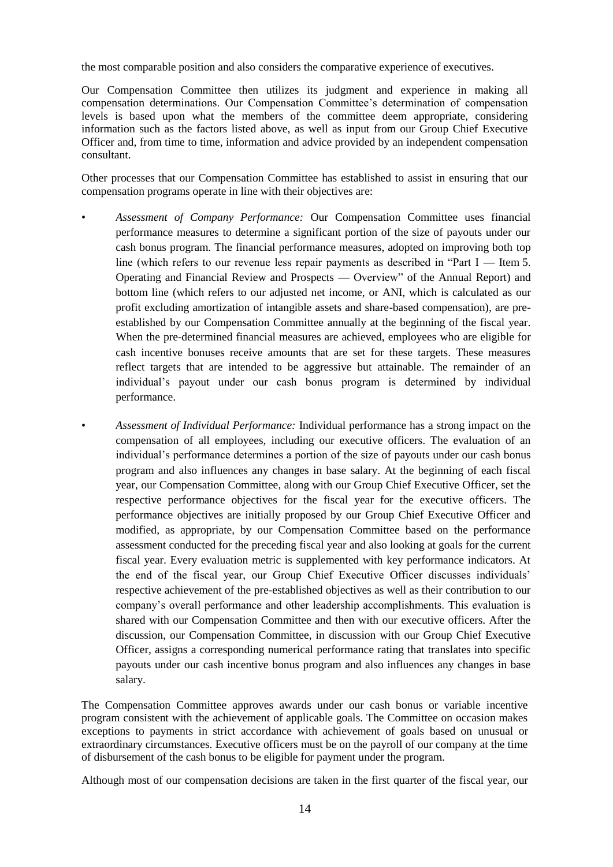the most comparable position and also considers the comparative experience of executives.

Our Compensation Committee then utilizes its judgment and experience in making all compensation determinations. Our Compensation Committee's determination of compensation levels is based upon what the members of the committee deem appropriate, considering information such as the factors listed above, as well as input from our Group Chief Executive Officer and, from time to time, information and advice provided by an independent compensation consultant.

Other processes that our Compensation Committee has established to assist in ensuring that our compensation programs operate in line with their objectives are:

- *Assessment of Company Performance:* Our Compensation Committee uses financial performance measures to determine a significant portion of the size of payouts under our cash bonus program. The financial performance measures, adopted on improving both top line (which refers to our revenue less repair payments as described in "Part  $I$  — Item 5. Operating and Financial Review and Prospects — Overview‖ of the Annual Report) and bottom line (which refers to our adjusted net income, or ANI, which is calculated as our profit excluding amortization of intangible assets and share-based compensation), are preestablished by our Compensation Committee annually at the beginning of the fiscal year. When the pre-determined financial measures are achieved, employees who are eligible for cash incentive bonuses receive amounts that are set for these targets. These measures reflect targets that are intended to be aggressive but attainable. The remainder of an individual's payout under our cash bonus program is determined by individual performance.
- *Assessment of Individual Performance:* Individual performance has a strong impact on the compensation of all employees, including our executive officers. The evaluation of an individual's performance determines a portion of the size of payouts under our cash bonus program and also influences any changes in base salary. At the beginning of each fiscal year, our Compensation Committee, along with our Group Chief Executive Officer, set the respective performance objectives for the fiscal year for the executive officers. The performance objectives are initially proposed by our Group Chief Executive Officer and modified, as appropriate, by our Compensation Committee based on the performance assessment conducted for the preceding fiscal year and also looking at goals for the current fiscal year. Every evaluation metric is supplemented with key performance indicators. At the end of the fiscal year, our Group Chief Executive Officer discusses individuals' respective achievement of the pre-established objectives as well as their contribution to our company's overall performance and other leadership accomplishments. This evaluation is shared with our Compensation Committee and then with our executive officers. After the discussion, our Compensation Committee, in discussion with our Group Chief Executive Officer, assigns a corresponding numerical performance rating that translates into specific payouts under our cash incentive bonus program and also influences any changes in base salary.

The Compensation Committee approves awards under our cash bonus or variable incentive program consistent with the achievement of applicable goals. The Committee on occasion makes exceptions to payments in strict accordance with achievement of goals based on unusual or extraordinary circumstances. Executive officers must be on the payroll of our company at the time of disbursement of the cash bonus to be eligible for payment under the program.

Although most of our compensation decisions are taken in the first quarter of the fiscal year, our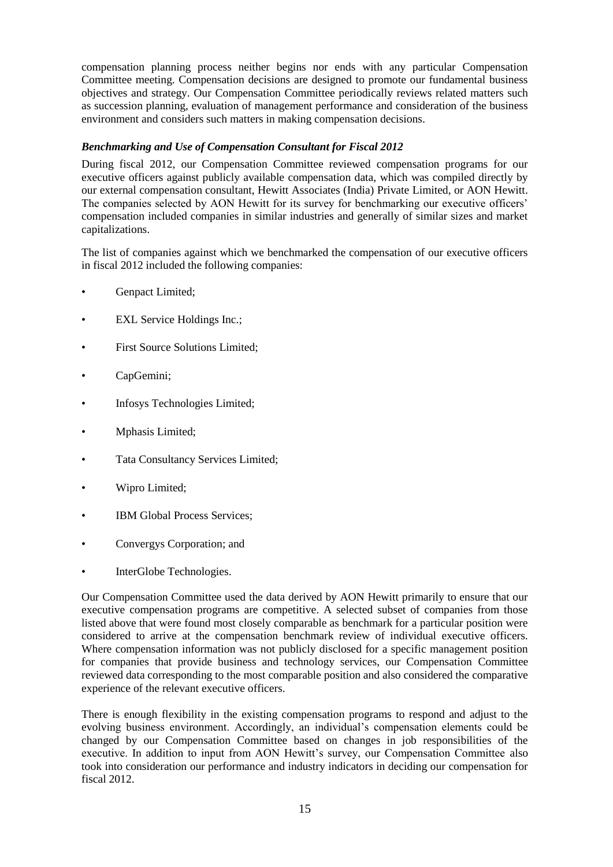compensation planning process neither begins nor ends with any particular Compensation Committee meeting. Compensation decisions are designed to promote our fundamental business objectives and strategy. Our Compensation Committee periodically reviews related matters such as succession planning, evaluation of management performance and consideration of the business environment and considers such matters in making compensation decisions.

# *Benchmarking and Use of Compensation Consultant for Fiscal 2012*

During fiscal 2012, our Compensation Committee reviewed compensation programs for our executive officers against publicly available compensation data, which was compiled directly by our external compensation consultant, Hewitt Associates (India) Private Limited, or AON Hewitt. The companies selected by AON Hewitt for its survey for benchmarking our executive officers' compensation included companies in similar industries and generally of similar sizes and market capitalizations.

The list of companies against which we benchmarked the compensation of our executive officers in fiscal 2012 included the following companies:

- Genpact Limited;
- EXL Service Holdings Inc.;
- First Source Solutions Limited;
- CapGemini;
- Infosys Technologies Limited;
- Mphasis Limited;
- Tata Consultancy Services Limited;
- Wipro Limited;
- IBM Global Process Services;
- Convergys Corporation; and
- InterGlobe Technologies.

Our Compensation Committee used the data derived by AON Hewitt primarily to ensure that our executive compensation programs are competitive. A selected subset of companies from those listed above that were found most closely comparable as benchmark for a particular position were considered to arrive at the compensation benchmark review of individual executive officers. Where compensation information was not publicly disclosed for a specific management position for companies that provide business and technology services, our Compensation Committee reviewed data corresponding to the most comparable position and also considered the comparative experience of the relevant executive officers.

There is enough flexibility in the existing compensation programs to respond and adjust to the evolving business environment. Accordingly, an individual's compensation elements could be changed by our Compensation Committee based on changes in job responsibilities of the executive. In addition to input from AON Hewitt's survey, our Compensation Committee also took into consideration our performance and industry indicators in deciding our compensation for fiscal 2012.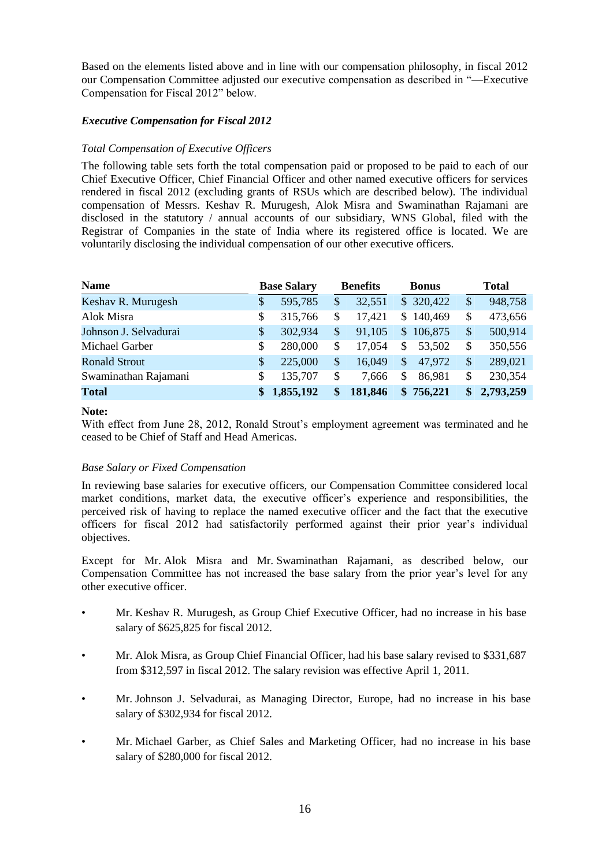Based on the elements listed above and in line with our compensation philosophy, in fiscal 2012 our Compensation Committee adjusted our executive compensation as described in ―—Executive Compensation for Fiscal 2012" below.

# *Executive Compensation for Fiscal 2012*

# *Total Compensation of Executive Officers*

The following table sets forth the total compensation paid or proposed to be paid to each of our Chief Executive Officer, Chief Financial Officer and other named executive officers for services rendered in fiscal 2012 (excluding grants of RSUs which are described below). The individual compensation of Messrs. Keshav R. Murugesh, Alok Misra and Swaminathan Rajamani are disclosed in the statutory / annual accounts of our subsidiary, WNS Global, filed with the Registrar of Companies in the state of India where its registered office is located. We are voluntarily disclosing the individual compensation of our other executive officers.

| <b>Name</b>           |               | <b>Base Salary</b> |    | <b>Benefits</b> | <b>Bonus</b> |               | <b>Total</b> |
|-----------------------|---------------|--------------------|----|-----------------|--------------|---------------|--------------|
| Keshav R. Murugesh    | \$            | 595,785            | \$ | 32,551          | \$320,422    | \$            | 948,758      |
| Alok Misra            | \$            | 315,766            | S  | 17,421          | \$140,469    | \$            | 473,656      |
| Johnson J. Selvadurai | <sup>\$</sup> | 302,934            | \$ | 91,105          | \$106,875    | \$            | 500,914      |
| Michael Garber        | S.            | 280,000            | \$ | 17,054          | 53,502<br>S. | \$            | 350,556      |
| <b>Ronald Strout</b>  | \$            | 225,000            | S  | 16,049          | 47,972<br>\$ | \$            | 289,021      |
| Swaminathan Rajamani  | \$.           | 135,707            | \$ | 7.666           | S<br>86,981  | \$            | 230,354      |
| <b>Total</b>          |               | 1,855,192          | \$ | 181,846         | \$756,221    | $\mathbf{\$}$ | 2,793,259    |

### **Note:**

With effect from June 28, 2012, Ronald Strout's employment agreement was terminated and he ceased to be Chief of Staff and Head Americas.

### *Base Salary or Fixed Compensation*

In reviewing base salaries for executive officers, our Compensation Committee considered local market conditions, market data, the executive officer's experience and responsibilities, the perceived risk of having to replace the named executive officer and the fact that the executive officers for fiscal 2012 had satisfactorily performed against their prior year's individual objectives.

Except for Mr. Alok Misra and Mr. Swaminathan Rajamani, as described below, our Compensation Committee has not increased the base salary from the prior year's level for any other executive officer.

- Mr. Keshav R. Murugesh, as Group Chief Executive Officer, had no increase in his base salary of \$625,825 for fiscal 2012.
- Mr. Alok Misra, as Group Chief Financial Officer, had his base salary revised to \$331,687 from \$312,597 in fiscal 2012. The salary revision was effective April 1, 2011.
- Mr. Johnson J. Selvadurai, as Managing Director, Europe, had no increase in his base salary of \$302,934 for fiscal 2012.
- Mr. Michael Garber, as Chief Sales and Marketing Officer, had no increase in his base salary of \$280,000 for fiscal 2012.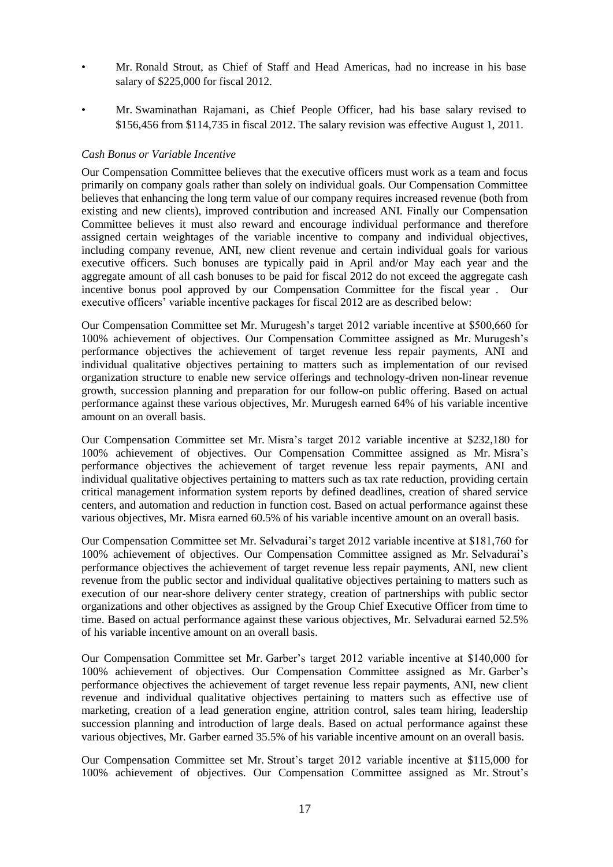- Mr. Ronald Strout, as Chief of Staff and Head Americas, had no increase in his base salary of \$225,000 for fiscal 2012.
- Mr. Swaminathan Rajamani, as Chief People Officer, had his base salary revised to \$156,456 from \$114,735 in fiscal 2012. The salary revision was effective August 1, 2011.

### *Cash Bonus or Variable Incentive*

Our Compensation Committee believes that the executive officers must work as a team and focus primarily on company goals rather than solely on individual goals. Our Compensation Committee believes that enhancing the long term value of our company requires increased revenue (both from existing and new clients), improved contribution and increased ANI. Finally our Compensation Committee believes it must also reward and encourage individual performance and therefore assigned certain weightages of the variable incentive to company and individual objectives, including company revenue, ANI, new client revenue and certain individual goals for various executive officers. Such bonuses are typically paid in April and/or May each year and the aggregate amount of all cash bonuses to be paid for fiscal 2012 do not exceed the aggregate cash incentive bonus pool approved by our Compensation Committee for the fiscal year *.* Our executive officers' variable incentive packages for fiscal 2012 are as described below:

Our Compensation Committee set Mr. Murugesh's target 2012 variable incentive at \$500,660 for 100% achievement of objectives. Our Compensation Committee assigned as Mr. Murugesh's performance objectives the achievement of target revenue less repair payments, ANI and individual qualitative objectives pertaining to matters such as implementation of our revised organization structure to enable new service offerings and technology-driven non-linear revenue growth, succession planning and preparation for our follow-on public offering. Based on actual performance against these various objectives, Mr. Murugesh earned 64% of his variable incentive amount on an overall basis.

Our Compensation Committee set Mr. Misra's target 2012 variable incentive at \$232,180 for 100% achievement of objectives. Our Compensation Committee assigned as Mr. Misra's performance objectives the achievement of target revenue less repair payments, ANI and individual qualitative objectives pertaining to matters such as tax rate reduction, providing certain critical management information system reports by defined deadlines, creation of shared service centers, and automation and reduction in function cost. Based on actual performance against these various objectives, Mr. Misra earned 60.5% of his variable incentive amount on an overall basis.

Our Compensation Committee set Mr. Selvadurai's target 2012 variable incentive at \$181,760 for 100% achievement of objectives. Our Compensation Committee assigned as Mr. Selvadurai's performance objectives the achievement of target revenue less repair payments, ANI, new client revenue from the public sector and individual qualitative objectives pertaining to matters such as execution of our near-shore delivery center strategy, creation of partnerships with public sector organizations and other objectives as assigned by the Group Chief Executive Officer from time to time. Based on actual performance against these various objectives, Mr. Selvadurai earned 52.5% of his variable incentive amount on an overall basis.

Our Compensation Committee set Mr. Garber's target 2012 variable incentive at \$140,000 for 100% achievement of objectives. Our Compensation Committee assigned as Mr. Garber's performance objectives the achievement of target revenue less repair payments, ANI, new client revenue and individual qualitative objectives pertaining to matters such as effective use of marketing, creation of a lead generation engine, attrition control, sales team hiring, leadership succession planning and introduction of large deals. Based on actual performance against these various objectives, Mr. Garber earned 35.5% of his variable incentive amount on an overall basis.

Our Compensation Committee set Mr. Strout's target 2012 variable incentive at \$115,000 for 100% achievement of objectives. Our Compensation Committee assigned as Mr. Strout's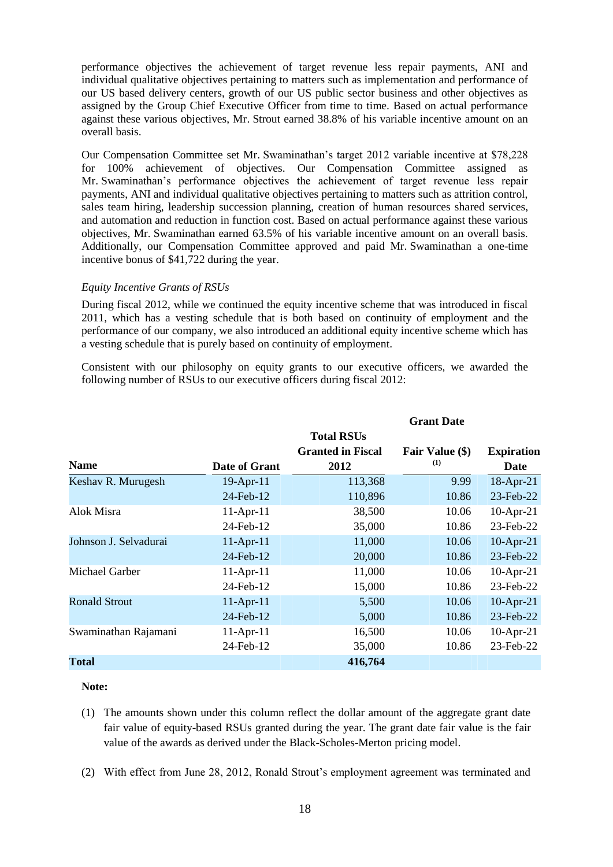performance objectives the achievement of target revenue less repair payments, ANI and individual qualitative objectives pertaining to matters such as implementation and performance of our US based delivery centers, growth of our US public sector business and other objectives as assigned by the Group Chief Executive Officer from time to time. Based on actual performance against these various objectives, Mr. Strout earned 38.8% of his variable incentive amount on an overall basis.

Our Compensation Committee set Mr. Swaminathan's target 2012 variable incentive at \$78,228 for 100% achievement of objectives. Our Compensation Committee assigned as Mr. Swaminathan's performance objectives the achievement of target revenue less repair payments, ANI and individual qualitative objectives pertaining to matters such as attrition control, sales team hiring, leadership succession planning, creation of human resources shared services, and automation and reduction in function cost. Based on actual performance against these various objectives, Mr. Swaminathan earned 63.5% of his variable incentive amount on an overall basis. Additionally, our Compensation Committee approved and paid Mr. Swaminathan a one-time incentive bonus of \$41,722 during the year.

#### *Equity Incentive Grants of RSUs*

During fiscal 2012, while we continued the equity incentive scheme that was introduced in fiscal 2011, which has a vesting schedule that is both based on continuity of employment and the performance of our company, we also introduced an additional equity incentive scheme which has a vesting schedule that is purely based on continuity of employment.

Consistent with our philosophy on equity grants to our executive officers, we awarded the following number of RSUs to our executive officers during fiscal 2012:

|                       |               |                          | <b>Grant Date</b> |                   |
|-----------------------|---------------|--------------------------|-------------------|-------------------|
|                       |               | <b>Total RSUs</b>        |                   |                   |
|                       |               | <b>Granted in Fiscal</b> | Fair Value (\$)   | <b>Expiration</b> |
| <b>Name</b>           | Date of Grant | 2012                     | (1)               | Date              |
| Keshav R. Murugesh    | 19-Apr-11     | 113,368                  | 9.99              | 18-Apr-21         |
|                       | 24-Feb-12     | 110,896                  | 10.86             | 23-Feb-22         |
| Alok Misra            | $11-Apr-11$   | 38,500                   | 10.06             | $10$ -Apr-21      |
|                       | 24-Feb-12     | 35,000                   | 10.86             | 23-Feb-22         |
| Johnson J. Selvadurai | $11-Apr-11$   | 11,000                   | 10.06             | $10$ -Apr-21      |
|                       | 24-Feb-12     | 20,000                   | 10.86             | 23-Feb-22         |
| Michael Garber        | $11-Apr-11$   | 11,000                   | 10.06             | $10$ -Apr-21      |
|                       | 24-Feb-12     | 15,000                   | 10.86             | 23-Feb-22         |
| <b>Ronald Strout</b>  | $11-Apr-11$   | 5,500                    | 10.06             | $10$ -Apr-21      |
|                       | 24-Feb-12     | 5,000                    | 10.86             | 23-Feb-22         |
| Swaminathan Rajamani  | $11-Apr-11$   | 16,500                   | 10.06             | $10$ -Apr-21      |
|                       | 24-Feb-12     | 35,000                   | 10.86             | 23-Feb-22         |
| <b>Total</b>          |               | 416,764                  |                   |                   |

#### **Note:**

- (1) The amounts shown under this column reflect the dollar amount of the aggregate grant date fair value of equity-based RSUs granted during the year. The grant date fair value is the fair value of the awards as derived under the Black-Scholes-Merton pricing model.
- (2) With effect from June 28, 2012, Ronald Strout's employment agreement was terminated and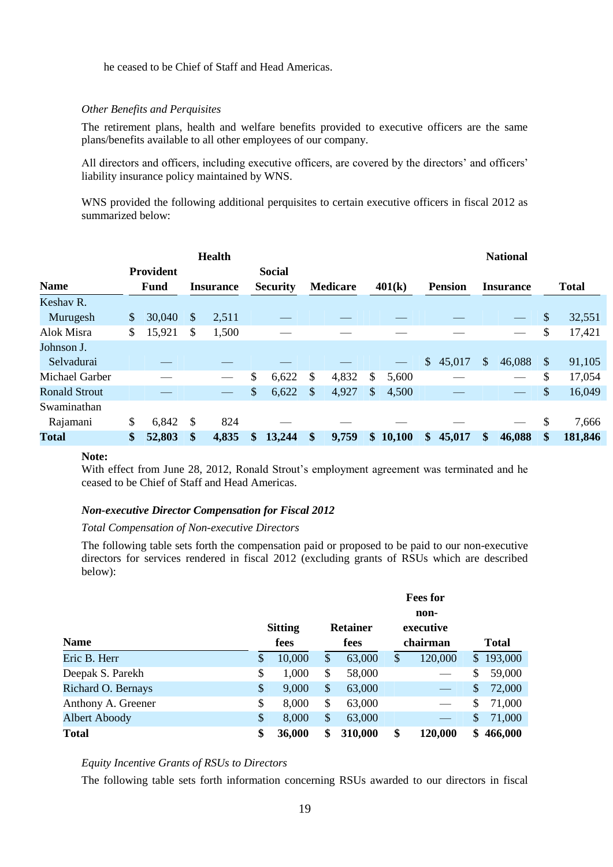he ceased to be Chief of Staff and Head Americas.

### *Other Benefits and Perquisites*

The retirement plans, health and welfare benefits provided to executive officers are the same plans/benefits available to all other employees of our company.

All directors and officers, including executive officers, are covered by the directors' and officers' liability insurance policy maintained by WNS.

WNS provided the following additional perquisites to certain executive officers in fiscal 2012 as summarized below:

|                      |                                 |               | <b>Health</b>    |                                  |                 |               |        |               |                | <b>National</b>  |                           |              |
|----------------------|---------------------------------|---------------|------------------|----------------------------------|-----------------|---------------|--------|---------------|----------------|------------------|---------------------------|--------------|
| <b>Name</b>          | <b>Provident</b><br><b>Fund</b> |               | <b>Insurance</b> | <b>Social</b><br><b>Security</b> | <b>Medicare</b> |               | 401(k) |               | <b>Pension</b> | <b>Insurance</b> |                           | <b>Total</b> |
| Keshav R.            |                                 |               |                  |                                  |                 |               |        |               |                |                  |                           |              |
| Murugesh             | \$<br>30,040                    | \$            | 2,511            |                                  |                 |               |        |               |                |                  | \$                        | 32,551       |
| Alok Misra           | \$<br>15,921                    | \$            | 1,500            |                                  |                 |               |        |               |                |                  | \$                        | 17,421       |
| Johnson J.           |                                 |               |                  |                                  |                 |               |        |               |                |                  |                           |              |
| Selvadurai           |                                 |               |                  |                                  |                 |               |        | \$            | 45,017         | \$<br>46,088     | $\boldsymbol{\mathsf{S}}$ | 91,105       |
| Michael Garber       |                                 |               |                  | \$<br>6,622                      | \$<br>4,832     | \$            | 5,600  |               |                |                  | \$                        | 17,054       |
| <b>Ronald Strout</b> |                                 |               |                  | \$<br>6,622                      | \$<br>4,927     | \$            | 4,500  |               |                |                  | \$                        | 16,049       |
| Swaminathan          |                                 |               |                  |                                  |                 |               |        |               |                |                  |                           |              |
| Rajamani             | \$<br>6,842                     | $\mathcal{S}$ | 824              |                                  |                 |               |        |               |                |                  | \$                        | 7,666        |
| Total                | \$<br>52,803                    | \$            | 4,835            | \$<br>13,244                     | \$<br>9,759     | $\mathbf{\$}$ | 10,100 | $\mathbf{\$}$ | 45,017         | \$<br>46,088     | \$                        | 181,846      |

### **Note:**

With effect from June 28, 2012, Ronald Strout's employment agreement was terminated and he ceased to be Chief of Staff and Head Americas.

### *Non-executive Director Compensation for Fiscal 2012*

#### *Total Compensation of Non-executive Directors*

The following table sets forth the compensation paid or proposed to be paid to our non-executive directors for services rendered in fiscal 2012 (excluding grants of RSUs which are described below):

|                    |                           |                |                 | <b>Fees for</b><br>non-  |               |
|--------------------|---------------------------|----------------|-----------------|--------------------------|---------------|
|                    |                           | <b>Sitting</b> | <b>Retainer</b> | executive                |               |
| <b>Name</b>        |                           | fees           | fees            | chairman                 | <b>Total</b>  |
| Eric B. Herr       | \$                        | 10,000         | \$<br>63,000    | \$<br>120,000            | \$<br>193,000 |
| Deepak S. Parekh   | \$                        | 1,000          | \$<br>58,000    |                          | \$<br>59,000  |
| Richard O. Bernays | \$                        | 9,000          | \$<br>63,000    |                          | \$<br>72,000  |
| Anthony A. Greener | \$                        | 8,000          | \$<br>63,000    | $\overline{\phantom{0}}$ | \$<br>71,000  |
| Albert Aboody      | $\boldsymbol{\mathsf{S}}$ | 8,000          | \$<br>63,000    |                          | \$<br>71,000  |
| <b>Total</b>       | \$                        | 36,000         | \$<br>310,000   | \$<br>120,000            | \$<br>466,000 |

#### *Equity Incentive Grants of RSUs to Directors*

The following table sets forth information concerning RSUs awarded to our directors in fiscal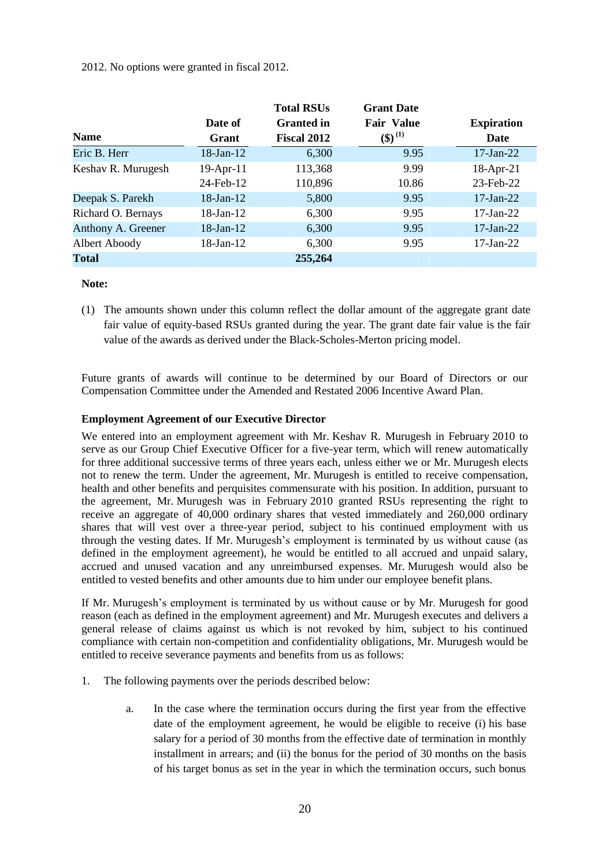### 2012. No options were granted in fiscal 2012.

|                    |                 | <b>Total RSUs</b>  | <b>Grant Date</b>                  |                   |
|--------------------|-----------------|--------------------|------------------------------------|-------------------|
|                    | Date of         | <b>Granted</b> in  | <b>Fair Value</b>                  | <b>Expiration</b> |
| <b>Name</b>        | Grant           | <b>Fiscal 2012</b> | $\left( \text{\$}\right) {}^{(1)}$ | Date              |
| Eric B. Herr       | 18-Jan-12       | 6,300              | 9.95                               | $17$ -Jan-22      |
| Keshav R. Murugesh | $19$ -Apr- $11$ | 113,368            | 9.99                               | $18-Apr-21$       |
|                    | 24-Feb-12       | 110,896            | 10.86                              | 23-Feb-22         |
| Deepak S. Parekh   | $18$ -Jan- $12$ | 5,800              | 9.95                               | $17$ -Jan-22      |
| Richard O. Bernays | $18$ -Jan- $12$ | 6,300              | 9.95                               | $17$ -Jan- $22$   |
| Anthony A. Greener | $18$ -Jan- $12$ | 6,300              | 9.95                               | $17$ -Jan-22      |
| Albert Aboody      | 18-Jan-12       | 6,300              | 9.95                               | $17-Jan-22$       |
| <b>Total</b>       |                 | 255,264            |                                    |                   |

#### **Note:**

(1) The amounts shown under this column reflect the dollar amount of the aggregate grant date fair value of equity-based RSUs granted during the year. The grant date fair value is the fair value of the awards as derived under the Black-Scholes-Merton pricing model.

Future grants of awards will continue to be determined by our Board of Directors or our Compensation Committee under the Amended and Restated 2006 Incentive Award Plan.

### **Employment Agreement of our Executive Director**

We entered into an employment agreement with Mr. Keshav R. Murugesh in February 2010 to serve as our Group Chief Executive Officer for a five-year term, which will renew automatically for three additional successive terms of three years each, unless either we or Mr. Murugesh elects not to renew the term. Under the agreement, Mr. Murugesh is entitled to receive compensation, health and other benefits and perquisites commensurate with his position. In addition, pursuant to the agreement, Mr. Murugesh was in February 2010 granted RSUs representing the right to receive an aggregate of 40,000 ordinary shares that vested immediately and 260,000 ordinary shares that will vest over a three-year period, subject to his continued employment with us through the vesting dates. If Mr. Murugesh's employment is terminated by us without cause (as defined in the employment agreement), he would be entitled to all accrued and unpaid salary, accrued and unused vacation and any unreimbursed expenses. Mr. Murugesh would also be entitled to vested benefits and other amounts due to him under our employee benefit plans.

If Mr. Murugesh's employment is terminated by us without cause or by Mr. Murugesh for good reason (each as defined in the employment agreement) and Mr. Murugesh executes and delivers a general release of claims against us which is not revoked by him, subject to his continued compliance with certain non-competition and confidentiality obligations, Mr. Murugesh would be entitled to receive severance payments and benefits from us as follows:

- 1. The following payments over the periods described below:
	- a. In the case where the termination occurs during the first year from the effective date of the employment agreement, he would be eligible to receive (i) his base salary for a period of 30 months from the effective date of termination in monthly installment in arrears; and (ii) the bonus for the period of 30 months on the basis of his target bonus as set in the year in which the termination occurs, such bonus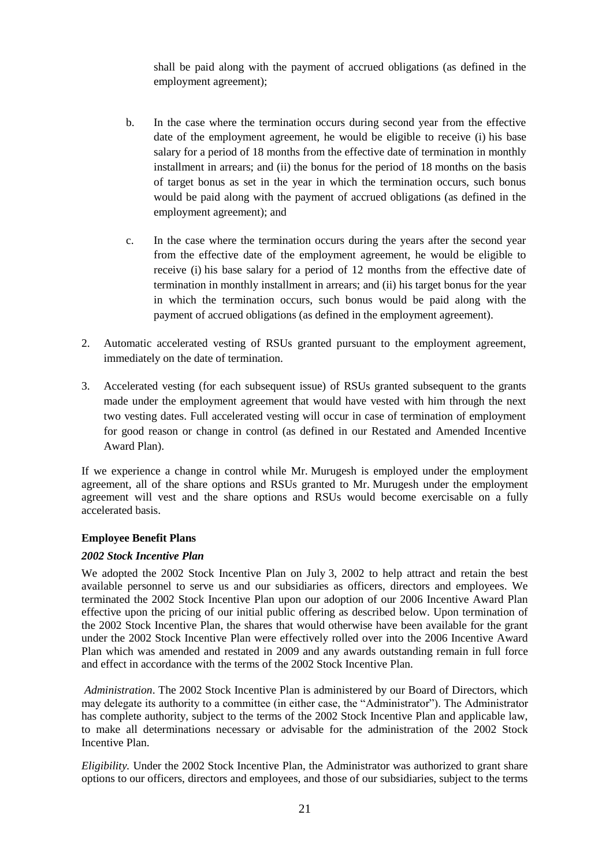shall be paid along with the payment of accrued obligations (as defined in the employment agreement);

- b. In the case where the termination occurs during second year from the effective date of the employment agreement, he would be eligible to receive (i) his base salary for a period of 18 months from the effective date of termination in monthly installment in arrears; and (ii) the bonus for the period of 18 months on the basis of target bonus as set in the year in which the termination occurs, such bonus would be paid along with the payment of accrued obligations (as defined in the employment agreement); and
- c. In the case where the termination occurs during the years after the second year from the effective date of the employment agreement, he would be eligible to receive (i) his base salary for a period of 12 months from the effective date of termination in monthly installment in arrears; and (ii) his target bonus for the year in which the termination occurs, such bonus would be paid along with the payment of accrued obligations (as defined in the employment agreement).
- 2. Automatic accelerated vesting of RSUs granted pursuant to the employment agreement, immediately on the date of termination.
- 3. Accelerated vesting (for each subsequent issue) of RSUs granted subsequent to the grants made under the employment agreement that would have vested with him through the next two vesting dates. Full accelerated vesting will occur in case of termination of employment for good reason or change in control (as defined in our Restated and Amended Incentive Award Plan).

If we experience a change in control while Mr. Murugesh is employed under the employment agreement, all of the share options and RSUs granted to Mr. Murugesh under the employment agreement will vest and the share options and RSUs would become exercisable on a fully accelerated basis.

### **Employee Benefit Plans**

### *2002 Stock Incentive Plan*

We adopted the 2002 Stock Incentive Plan on July 3, 2002 to help attract and retain the best available personnel to serve us and our subsidiaries as officers, directors and employees. We terminated the 2002 Stock Incentive Plan upon our adoption of our 2006 Incentive Award Plan effective upon the pricing of our initial public offering as described below. Upon termination of the 2002 Stock Incentive Plan, the shares that would otherwise have been available for the grant under the 2002 Stock Incentive Plan were effectively rolled over into the 2006 Incentive Award Plan which was amended and restated in 2009 and any awards outstanding remain in full force and effect in accordance with the terms of the 2002 Stock Incentive Plan.

*Administration*. The 2002 Stock Incentive Plan is administered by our Board of Directors, which may delegate its authority to a committee (in either case, the "Administrator"). The Administrator has complete authority, subject to the terms of the 2002 Stock Incentive Plan and applicable law, to make all determinations necessary or advisable for the administration of the 2002 Stock Incentive Plan.

*Eligibility.* Under the 2002 Stock Incentive Plan, the Administrator was authorized to grant share options to our officers, directors and employees, and those of our subsidiaries, subject to the terms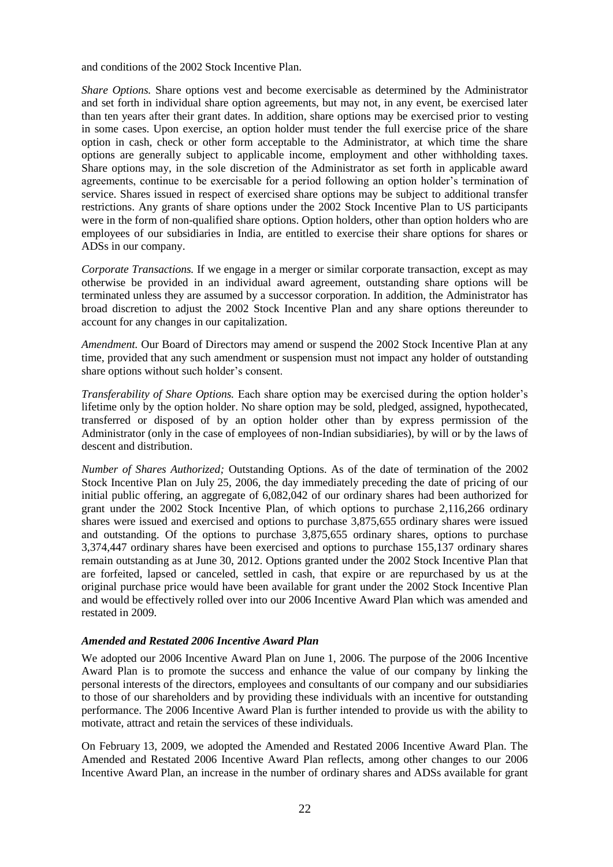and conditions of the 2002 Stock Incentive Plan.

*Share Options.* Share options vest and become exercisable as determined by the Administrator and set forth in individual share option agreements, but may not, in any event, be exercised later than ten years after their grant dates. In addition, share options may be exercised prior to vesting in some cases. Upon exercise, an option holder must tender the full exercise price of the share option in cash, check or other form acceptable to the Administrator, at which time the share options are generally subject to applicable income, employment and other withholding taxes. Share options may, in the sole discretion of the Administrator as set forth in applicable award agreements, continue to be exercisable for a period following an option holder's termination of service. Shares issued in respect of exercised share options may be subject to additional transfer restrictions. Any grants of share options under the 2002 Stock Incentive Plan to US participants were in the form of non-qualified share options. Option holders, other than option holders who are employees of our subsidiaries in India, are entitled to exercise their share options for shares or ADSs in our company.

*Corporate Transactions.* If we engage in a merger or similar corporate transaction, except as may otherwise be provided in an individual award agreement, outstanding share options will be terminated unless they are assumed by a successor corporation. In addition, the Administrator has broad discretion to adjust the 2002 Stock Incentive Plan and any share options thereunder to account for any changes in our capitalization.

*Amendment.* Our Board of Directors may amend or suspend the 2002 Stock Incentive Plan at any time, provided that any such amendment or suspension must not impact any holder of outstanding share options without such holder's consent.

*Transferability of Share Options.* Each share option may be exercised during the option holder's lifetime only by the option holder. No share option may be sold, pledged, assigned, hypothecated, transferred or disposed of by an option holder other than by express permission of the Administrator (only in the case of employees of non-Indian subsidiaries), by will or by the laws of descent and distribution.

*Number of Shares Authorized;* Outstanding Options. As of the date of termination of the 2002 Stock Incentive Plan on July 25, 2006, the day immediately preceding the date of pricing of our initial public offering, an aggregate of 6,082,042 of our ordinary shares had been authorized for grant under the 2002 Stock Incentive Plan, of which options to purchase 2,116,266 ordinary shares were issued and exercised and options to purchase 3,875,655 ordinary shares were issued and outstanding. Of the options to purchase 3,875,655 ordinary shares, options to purchase 3,374,447 ordinary shares have been exercised and options to purchase 155,137 ordinary shares remain outstanding as at June 30, 2012. Options granted under the 2002 Stock Incentive Plan that are forfeited, lapsed or canceled, settled in cash, that expire or are repurchased by us at the original purchase price would have been available for grant under the 2002 Stock Incentive Plan and would be effectively rolled over into our 2006 Incentive Award Plan which was amended and restated in 2009.

#### *Amended and Restated 2006 Incentive Award Plan*

We adopted our 2006 Incentive Award Plan on June 1, 2006. The purpose of the 2006 Incentive Award Plan is to promote the success and enhance the value of our company by linking the personal interests of the directors, employees and consultants of our company and our subsidiaries to those of our shareholders and by providing these individuals with an incentive for outstanding performance. The 2006 Incentive Award Plan is further intended to provide us with the ability to motivate, attract and retain the services of these individuals.

On February 13, 2009, we adopted the Amended and Restated 2006 Incentive Award Plan. The Amended and Restated 2006 Incentive Award Plan reflects, among other changes to our 2006 Incentive Award Plan, an increase in the number of ordinary shares and ADSs available for grant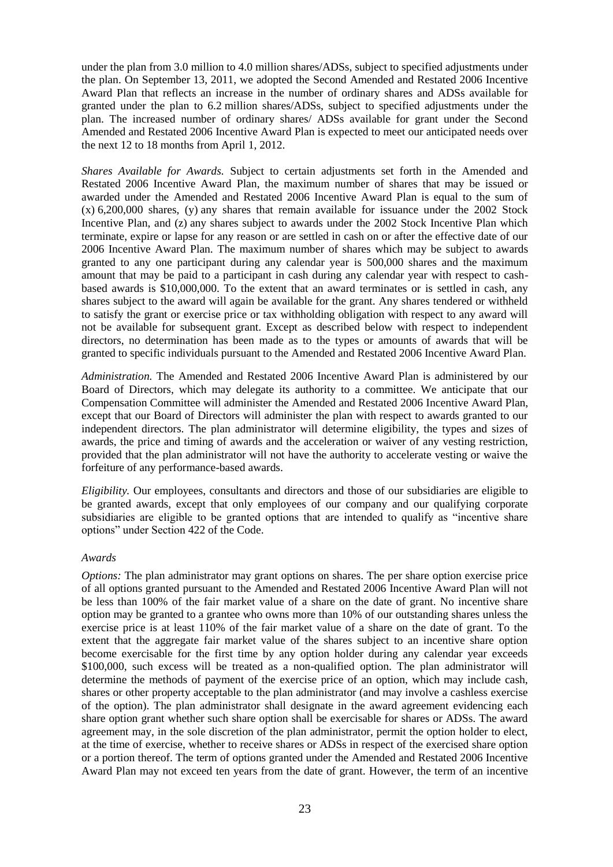under the plan from 3.0 million to 4.0 million shares/ADSs, subject to specified adjustments under the plan. On September 13, 2011, we adopted the Second Amended and Restated 2006 Incentive Award Plan that reflects an increase in the number of ordinary shares and ADSs available for granted under the plan to 6.2 million shares/ADSs, subject to specified adjustments under the plan. The increased number of ordinary shares/ ADSs available for grant under the Second Amended and Restated 2006 Incentive Award Plan is expected to meet our anticipated needs over the next 12 to 18 months from April 1, 2012.

*Shares Available for Awards.* Subject to certain adjustments set forth in the Amended and Restated 2006 Incentive Award Plan, the maximum number of shares that may be issued or awarded under the Amended and Restated 2006 Incentive Award Plan is equal to the sum of  $(x)$  6,200,000 shares,  $(y)$  any shares that remain available for issuance under the 2002 Stock Incentive Plan, and (z) any shares subject to awards under the 2002 Stock Incentive Plan which terminate, expire or lapse for any reason or are settled in cash on or after the effective date of our 2006 Incentive Award Plan. The maximum number of shares which may be subject to awards granted to any one participant during any calendar year is 500,000 shares and the maximum amount that may be paid to a participant in cash during any calendar year with respect to cashbased awards is \$10,000,000. To the extent that an award terminates or is settled in cash, any shares subject to the award will again be available for the grant. Any shares tendered or withheld to satisfy the grant or exercise price or tax withholding obligation with respect to any award will not be available for subsequent grant. Except as described below with respect to independent directors, no determination has been made as to the types or amounts of awards that will be granted to specific individuals pursuant to the Amended and Restated 2006 Incentive Award Plan.

*Administration.* The Amended and Restated 2006 Incentive Award Plan is administered by our Board of Directors, which may delegate its authority to a committee. We anticipate that our Compensation Committee will administer the Amended and Restated 2006 Incentive Award Plan, except that our Board of Directors will administer the plan with respect to awards granted to our independent directors. The plan administrator will determine eligibility, the types and sizes of awards, the price and timing of awards and the acceleration or waiver of any vesting restriction, provided that the plan administrator will not have the authority to accelerate vesting or waive the forfeiture of any performance-based awards.

*Eligibility.* Our employees, consultants and directors and those of our subsidiaries are eligible to be granted awards, except that only employees of our company and our qualifying corporate subsidiaries are eligible to be granted options that are intended to qualify as "incentive share" options" under Section 422 of the Code.

#### *Awards*

*Options:* The plan administrator may grant options on shares. The per share option exercise price of all options granted pursuant to the Amended and Restated 2006 Incentive Award Plan will not be less than 100% of the fair market value of a share on the date of grant. No incentive share option may be granted to a grantee who owns more than 10% of our outstanding shares unless the exercise price is at least 110% of the fair market value of a share on the date of grant. To the extent that the aggregate fair market value of the shares subject to an incentive share option become exercisable for the first time by any option holder during any calendar year exceeds \$100,000, such excess will be treated as a non-qualified option. The plan administrator will determine the methods of payment of the exercise price of an option, which may include cash, shares or other property acceptable to the plan administrator (and may involve a cashless exercise of the option). The plan administrator shall designate in the award agreement evidencing each share option grant whether such share option shall be exercisable for shares or ADSs. The award agreement may, in the sole discretion of the plan administrator, permit the option holder to elect, at the time of exercise, whether to receive shares or ADSs in respect of the exercised share option or a portion thereof. The term of options granted under the Amended and Restated 2006 Incentive Award Plan may not exceed ten years from the date of grant. However, the term of an incentive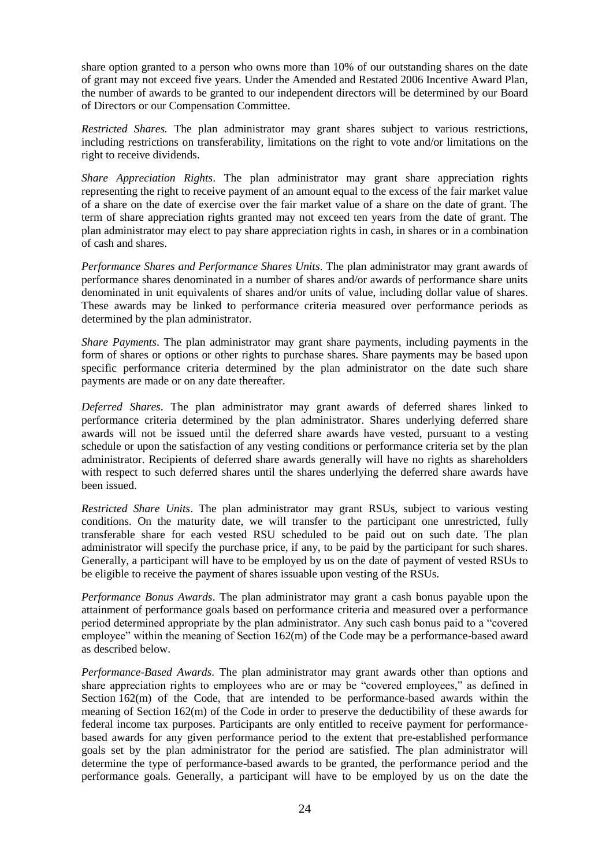share option granted to a person who owns more than 10% of our outstanding shares on the date of grant may not exceed five years. Under the Amended and Restated 2006 Incentive Award Plan, the number of awards to be granted to our independent directors will be determined by our Board of Directors or our Compensation Committee.

*Restricted Shares.* The plan administrator may grant shares subject to various restrictions, including restrictions on transferability, limitations on the right to vote and/or limitations on the right to receive dividends.

*Share Appreciation Rights*. The plan administrator may grant share appreciation rights representing the right to receive payment of an amount equal to the excess of the fair market value of a share on the date of exercise over the fair market value of a share on the date of grant. The term of share appreciation rights granted may not exceed ten years from the date of grant. The plan administrator may elect to pay share appreciation rights in cash, in shares or in a combination of cash and shares.

*Performance Shares and Performance Shares Units*. The plan administrator may grant awards of performance shares denominated in a number of shares and/or awards of performance share units denominated in unit equivalents of shares and/or units of value, including dollar value of shares. These awards may be linked to performance criteria measured over performance periods as determined by the plan administrator.

*Share Payments*. The plan administrator may grant share payments, including payments in the form of shares or options or other rights to purchase shares. Share payments may be based upon specific performance criteria determined by the plan administrator on the date such share payments are made or on any date thereafter.

*Deferred Shares*. The plan administrator may grant awards of deferred shares linked to performance criteria determined by the plan administrator. Shares underlying deferred share awards will not be issued until the deferred share awards have vested, pursuant to a vesting schedule or upon the satisfaction of any vesting conditions or performance criteria set by the plan administrator. Recipients of deferred share awards generally will have no rights as shareholders with respect to such deferred shares until the shares underlying the deferred share awards have been issued.

*Restricted Share Units*. The plan administrator may grant RSUs, subject to various vesting conditions. On the maturity date, we will transfer to the participant one unrestricted, fully transferable share for each vested RSU scheduled to be paid out on such date. The plan administrator will specify the purchase price, if any, to be paid by the participant for such shares. Generally, a participant will have to be employed by us on the date of payment of vested RSUs to be eligible to receive the payment of shares issuable upon vesting of the RSUs.

*Performance Bonus Awards*. The plan administrator may grant a cash bonus payable upon the attainment of performance goals based on performance criteria and measured over a performance period determined appropriate by the plan administrator. Any such cash bonus paid to a "covered" employee" within the meaning of Section 162(m) of the Code may be a performance-based award as described below.

*Performance-Based Awards*. The plan administrator may grant awards other than options and share appreciation rights to employees who are or may be "covered employees," as defined in Section  $162(m)$  of the Code, that are intended to be performance-based awards within the meaning of Section 162(m) of the Code in order to preserve the deductibility of these awards for federal income tax purposes. Participants are only entitled to receive payment for performancebased awards for any given performance period to the extent that pre-established performance goals set by the plan administrator for the period are satisfied. The plan administrator will determine the type of performance-based awards to be granted, the performance period and the performance goals. Generally, a participant will have to be employed by us on the date the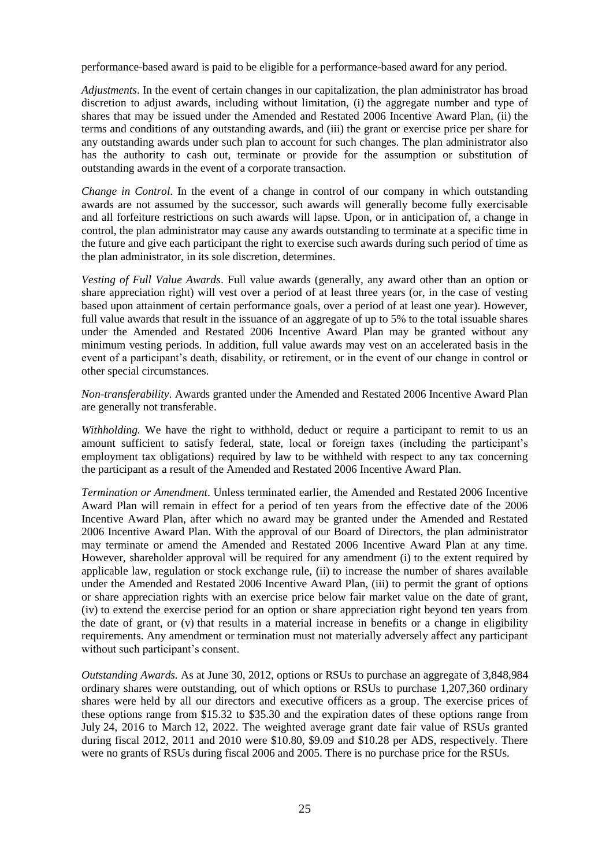performance-based award is paid to be eligible for a performance-based award for any period.

*Adjustments*. In the event of certain changes in our capitalization, the plan administrator has broad discretion to adjust awards, including without limitation, (i) the aggregate number and type of shares that may be issued under the Amended and Restated 2006 Incentive Award Plan, (ii) the terms and conditions of any outstanding awards, and (iii) the grant or exercise price per share for any outstanding awards under such plan to account for such changes. The plan administrator also has the authority to cash out, terminate or provide for the assumption or substitution of outstanding awards in the event of a corporate transaction.

*Change in Control*. In the event of a change in control of our company in which outstanding awards are not assumed by the successor, such awards will generally become fully exercisable and all forfeiture restrictions on such awards will lapse. Upon, or in anticipation of, a change in control, the plan administrator may cause any awards outstanding to terminate at a specific time in the future and give each participant the right to exercise such awards during such period of time as the plan administrator, in its sole discretion, determines.

*Vesting of Full Value Awards*. Full value awards (generally, any award other than an option or share appreciation right) will vest over a period of at least three years (or, in the case of vesting based upon attainment of certain performance goals, over a period of at least one year). However, full value awards that result in the issuance of an aggregate of up to 5% to the total issuable shares under the Amended and Restated 2006 Incentive Award Plan may be granted without any minimum vesting periods. In addition, full value awards may vest on an accelerated basis in the event of a participant's death, disability, or retirement, or in the event of our change in control or other special circumstances.

*Non-transferability*. Awards granted under the Amended and Restated 2006 Incentive Award Plan are generally not transferable.

*Withholding.* We have the right to withhold, deduct or require a participant to remit to us an amount sufficient to satisfy federal, state, local or foreign taxes (including the participant's employment tax obligations) required by law to be withheld with respect to any tax concerning the participant as a result of the Amended and Restated 2006 Incentive Award Plan.

*Termination or Amendment*. Unless terminated earlier, the Amended and Restated 2006 Incentive Award Plan will remain in effect for a period of ten years from the effective date of the 2006 Incentive Award Plan, after which no award may be granted under the Amended and Restated 2006 Incentive Award Plan. With the approval of our Board of Directors, the plan administrator may terminate or amend the Amended and Restated 2006 Incentive Award Plan at any time. However, shareholder approval will be required for any amendment (i) to the extent required by applicable law, regulation or stock exchange rule, (ii) to increase the number of shares available under the Amended and Restated 2006 Incentive Award Plan, (iii) to permit the grant of options or share appreciation rights with an exercise price below fair market value on the date of grant, (iv) to extend the exercise period for an option or share appreciation right beyond ten years from the date of grant, or (v) that results in a material increase in benefits or a change in eligibility requirements. Any amendment or termination must not materially adversely affect any participant without such participant's consent.

*Outstanding Awards.* As at June 30, 2012, options or RSUs to purchase an aggregate of 3,848,984 ordinary shares were outstanding, out of which options or RSUs to purchase 1,207,360 ordinary shares were held by all our directors and executive officers as a group. The exercise prices of these options range from \$15.32 to \$35.30 and the expiration dates of these options range from July 24, 2016 to March 12, 2022. The weighted average grant date fair value of RSUs granted during fiscal 2012, 2011 and 2010 were \$10.80, \$9.09 and \$10.28 per ADS, respectively. There were no grants of RSUs during fiscal 2006 and 2005. There is no purchase price for the RSUs.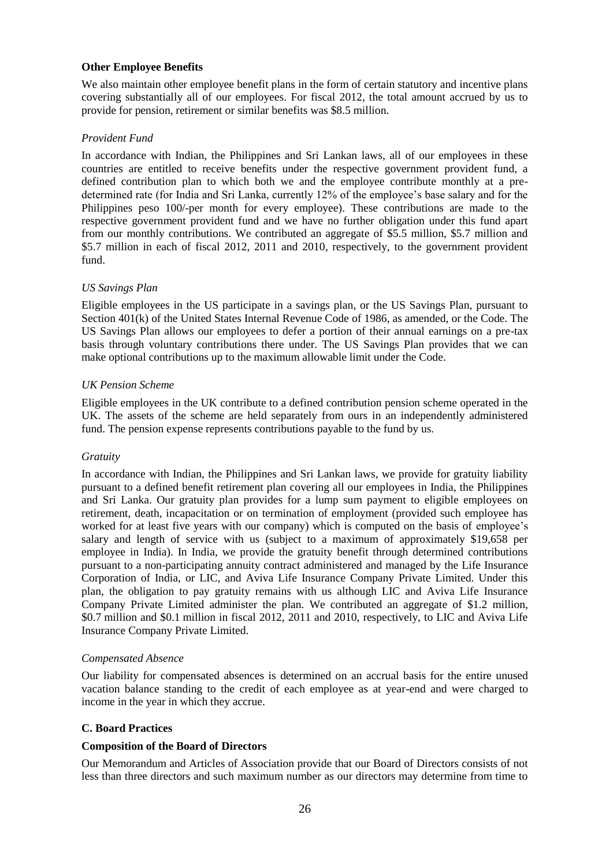### **Other Employee Benefits**

We also maintain other employee benefit plans in the form of certain statutory and incentive plans covering substantially all of our employees. For fiscal 2012, the total amount accrued by us to provide for pension, retirement or similar benefits was \$8.5 million.

# *Provident Fund*

In accordance with Indian, the Philippines and Sri Lankan laws, all of our employees in these countries are entitled to receive benefits under the respective government provident fund, a defined contribution plan to which both we and the employee contribute monthly at a predetermined rate (for India and Sri Lanka, currently 12% of the employee's base salary and for the Philippines peso 100/-per month for every employee). These contributions are made to the respective government provident fund and we have no further obligation under this fund apart from our monthly contributions. We contributed an aggregate of \$5.5 million, \$5.7 million and \$5.7 million in each of fiscal 2012, 2011 and 2010, respectively, to the government provident fund.

## *US Savings Plan*

Eligible employees in the US participate in a savings plan, or the US Savings Plan, pursuant to Section 401(k) of the United States Internal Revenue Code of 1986, as amended, or the Code. The US Savings Plan allows our employees to defer a portion of their annual earnings on a pre-tax basis through voluntary contributions there under. The US Savings Plan provides that we can make optional contributions up to the maximum allowable limit under the Code.

## *UK Pension Scheme*

Eligible employees in the UK contribute to a defined contribution pension scheme operated in the UK. The assets of the scheme are held separately from ours in an independently administered fund. The pension expense represents contributions payable to the fund by us.

# *Gratuity*

In accordance with Indian, the Philippines and Sri Lankan laws, we provide for gratuity liability pursuant to a defined benefit retirement plan covering all our employees in India, the Philippines and Sri Lanka. Our gratuity plan provides for a lump sum payment to eligible employees on retirement, death, incapacitation or on termination of employment (provided such employee has worked for at least five years with our company) which is computed on the basis of employee's salary and length of service with us (subject to a maximum of approximately \$19,658 per employee in India). In India, we provide the gratuity benefit through determined contributions pursuant to a non-participating annuity contract administered and managed by the Life Insurance Corporation of India, or LIC, and Aviva Life Insurance Company Private Limited. Under this plan, the obligation to pay gratuity remains with us although LIC and Aviva Life Insurance Company Private Limited administer the plan. We contributed an aggregate of \$1.2 million, \$0.7 million and \$0.1 million in fiscal 2012, 2011 and 2010, respectively, to LIC and Aviva Life Insurance Company Private Limited.

### *Compensated Absence*

Our liability for compensated absences is determined on an accrual basis for the entire unused vacation balance standing to the credit of each employee as at year-end and were charged to income in the year in which they accrue.

# **C. Board Practices**

# **Composition of the Board of Directors**

Our Memorandum and Articles of Association provide that our Board of Directors consists of not less than three directors and such maximum number as our directors may determine from time to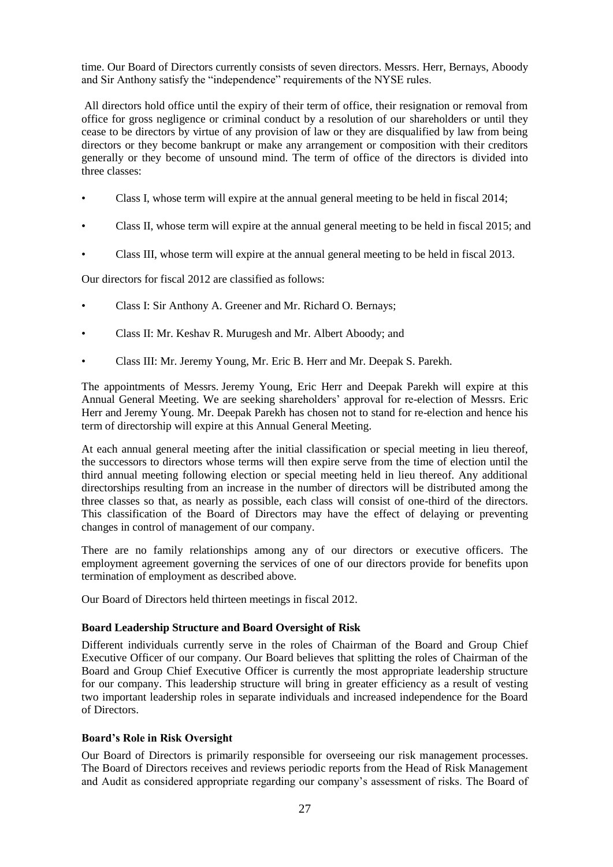time. Our Board of Directors currently consists of seven directors. Messrs. Herr, Bernays, Aboody and Sir Anthony satisfy the "independence" requirements of the NYSE rules.

All directors hold office until the expiry of their term of office, their resignation or removal from office for gross negligence or criminal conduct by a resolution of our shareholders or until they cease to be directors by virtue of any provision of law or they are disqualified by law from being directors or they become bankrupt or make any arrangement or composition with their creditors generally or they become of unsound mind. The term of office of the directors is divided into three classes:

- Class I, whose term will expire at the annual general meeting to be held in fiscal 2014;
- Class II, whose term will expire at the annual general meeting to be held in fiscal 2015; and
- Class III, whose term will expire at the annual general meeting to be held in fiscal 2013.

Our directors for fiscal 2012 are classified as follows:

- Class I: Sir Anthony A. Greener and Mr. Richard O. Bernays;
- Class II: Mr. Keshav R. Murugesh and Mr. Albert Aboody; and
- Class III: Mr. Jeremy Young, Mr. Eric B. Herr and Mr. Deepak S. Parekh.

The appointments of Messrs. Jeremy Young, Eric Herr and Deepak Parekh will expire at this Annual General Meeting. We are seeking shareholders' approval for re-election of Messrs. Eric Herr and Jeremy Young. Mr. Deepak Parekh has chosen not to stand for re-election and hence his term of directorship will expire at this Annual General Meeting.

At each annual general meeting after the initial classification or special meeting in lieu thereof, the successors to directors whose terms will then expire serve from the time of election until the third annual meeting following election or special meeting held in lieu thereof. Any additional directorships resulting from an increase in the number of directors will be distributed among the three classes so that, as nearly as possible, each class will consist of one-third of the directors. This classification of the Board of Directors may have the effect of delaying or preventing changes in control of management of our company.

There are no family relationships among any of our directors or executive officers. The employment agreement governing the services of one of our directors provide for benefits upon termination of employment as described above.

Our Board of Directors held thirteen meetings in fiscal 2012.

### **Board Leadership Structure and Board Oversight of Risk**

Different individuals currently serve in the roles of Chairman of the Board and Group Chief Executive Officer of our company. Our Board believes that splitting the roles of Chairman of the Board and Group Chief Executive Officer is currently the most appropriate leadership structure for our company. This leadership structure will bring in greater efficiency as a result of vesting two important leadership roles in separate individuals and increased independence for the Board of Directors.

### **Board"s Role in Risk Oversight**

Our Board of Directors is primarily responsible for overseeing our risk management processes. The Board of Directors receives and reviews periodic reports from the Head of Risk Management and Audit as considered appropriate regarding our company's assessment of risks. The Board of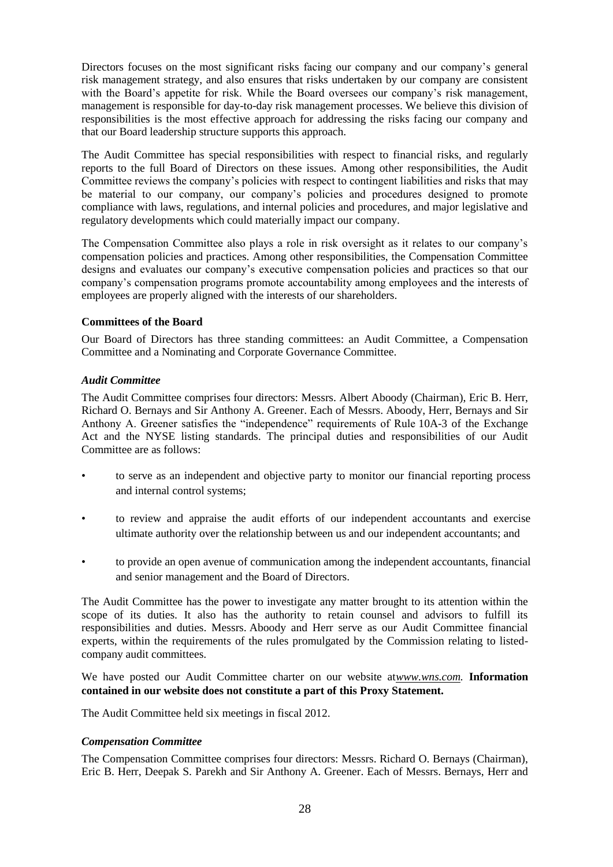Directors focuses on the most significant risks facing our company and our company's general risk management strategy, and also ensures that risks undertaken by our company are consistent with the Board's appetite for risk. While the Board oversees our company's risk management, management is responsible for day-to-day risk management processes. We believe this division of responsibilities is the most effective approach for addressing the risks facing our company and that our Board leadership structure supports this approach.

The Audit Committee has special responsibilities with respect to financial risks, and regularly reports to the full Board of Directors on these issues. Among other responsibilities, the Audit Committee reviews the company's policies with respect to contingent liabilities and risks that may be material to our company, our company's policies and procedures designed to promote compliance with laws, regulations, and internal policies and procedures, and major legislative and regulatory developments which could materially impact our company.

The Compensation Committee also plays a role in risk oversight as it relates to our company's compensation policies and practices. Among other responsibilities, the Compensation Committee designs and evaluates our company's executive compensation policies and practices so that our company's compensation programs promote accountability among employees and the interests of employees are properly aligned with the interests of our shareholders.

## **Committees of the Board**

Our Board of Directors has three standing committees: an Audit Committee, a Compensation Committee and a Nominating and Corporate Governance Committee.

### *Audit Committee*

The Audit Committee comprises four directors: Messrs. Albert Aboody (Chairman), Eric B. Herr, Richard O. Bernays and Sir Anthony A. Greener. Each of Messrs. Aboody, Herr, Bernays and Sir Anthony A. Greener satisfies the "independence" requirements of Rule 10A-3 of the Exchange Act and the NYSE listing standards. The principal duties and responsibilities of our Audit Committee are as follows:

- to serve as an independent and objective party to monitor our financial reporting process and internal control systems;
- to review and appraise the audit efforts of our independent accountants and exercise ultimate authority over the relationship between us and our independent accountants; and
- to provide an open avenue of communication among the independent accountants, financial and senior management and the Board of Directors.

The Audit Committee has the power to investigate any matter brought to its attention within the scope of its duties. It also has the authority to retain counsel and advisors to fulfill its responsibilities and duties. Messrs. Aboody and Herr serve as our Audit Committee financial experts, within the requirements of the rules promulgated by the Commission relating to listedcompany audit committees.

We have posted our Audit Committee charter on our website at*www.wns.com.* **Information contained in our website does not constitute a part of this Proxy Statement.**

The Audit Committee held six meetings in fiscal 2012.

### *Compensation Committee*

The Compensation Committee comprises four directors: Messrs. Richard O. Bernays (Chairman), Eric B. Herr, Deepak S. Parekh and Sir Anthony A. Greener. Each of Messrs. Bernays, Herr and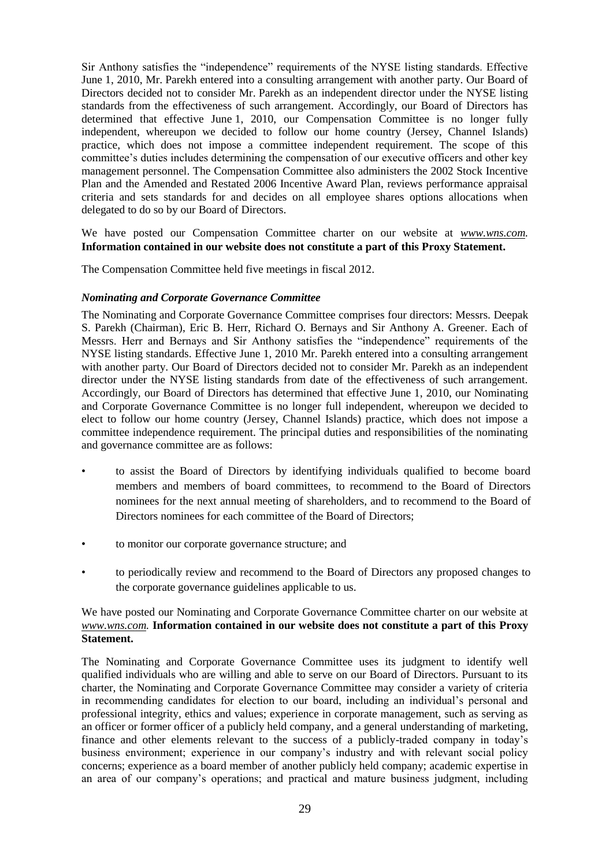Sir Anthony satisfies the "independence" requirements of the NYSE listing standards. Effective June 1, 2010, Mr. Parekh entered into a consulting arrangement with another party. Our Board of Directors decided not to consider Mr. Parekh as an independent director under the NYSE listing standards from the effectiveness of such arrangement. Accordingly, our Board of Directors has determined that effective June 1, 2010, our Compensation Committee is no longer fully independent, whereupon we decided to follow our home country (Jersey, Channel Islands) practice, which does not impose a committee independent requirement. The scope of this committee's duties includes determining the compensation of our executive officers and other key management personnel. The Compensation Committee also administers the 2002 Stock Incentive Plan and the Amended and Restated 2006 Incentive Award Plan, reviews performance appraisal criteria and sets standards for and decides on all employee shares options allocations when delegated to do so by our Board of Directors.

We have posted our Compensation Committee charter on our website at *www.wns.com.* **Information contained in our website does not constitute a part of this Proxy Statement.**

The Compensation Committee held five meetings in fiscal 2012.

#### *Nominating and Corporate Governance Committee*

The Nominating and Corporate Governance Committee comprises four directors: Messrs. Deepak S. Parekh (Chairman), Eric B. Herr, Richard O. Bernays and Sir Anthony A. Greener. Each of Messrs. Herr and Bernays and Sir Anthony satisfies the "independence" requirements of the NYSE listing standards. Effective June 1, 2010 Mr. Parekh entered into a consulting arrangement with another party. Our Board of Directors decided not to consider Mr. Parekh as an independent director under the NYSE listing standards from date of the effectiveness of such arrangement. Accordingly, our Board of Directors has determined that effective June 1, 2010, our Nominating and Corporate Governance Committee is no longer full independent, whereupon we decided to elect to follow our home country (Jersey, Channel Islands) practice, which does not impose a committee independence requirement. The principal duties and responsibilities of the nominating and governance committee are as follows:

- to assist the Board of Directors by identifying individuals qualified to become board members and members of board committees, to recommend to the Board of Directors nominees for the next annual meeting of shareholders, and to recommend to the Board of Directors nominees for each committee of the Board of Directors;
- to monitor our corporate governance structure; and
- to periodically review and recommend to the Board of Directors any proposed changes to the corporate governance guidelines applicable to us.

### We have posted our Nominating and Corporate Governance Committee charter on our website at *www.wns.com.* **Information contained in our website does not constitute a part of this Proxy Statement.**

The Nominating and Corporate Governance Committee uses its judgment to identify well qualified individuals who are willing and able to serve on our Board of Directors. Pursuant to its charter, the Nominating and Corporate Governance Committee may consider a variety of criteria in recommending candidates for election to our board, including an individual's personal and professional integrity, ethics and values; experience in corporate management, such as serving as an officer or former officer of a publicly held company, and a general understanding of marketing, finance and other elements relevant to the success of a publicly-traded company in today's business environment; experience in our company's industry and with relevant social policy concerns; experience as a board member of another publicly held company; academic expertise in an area of our company's operations; and practical and mature business judgment, including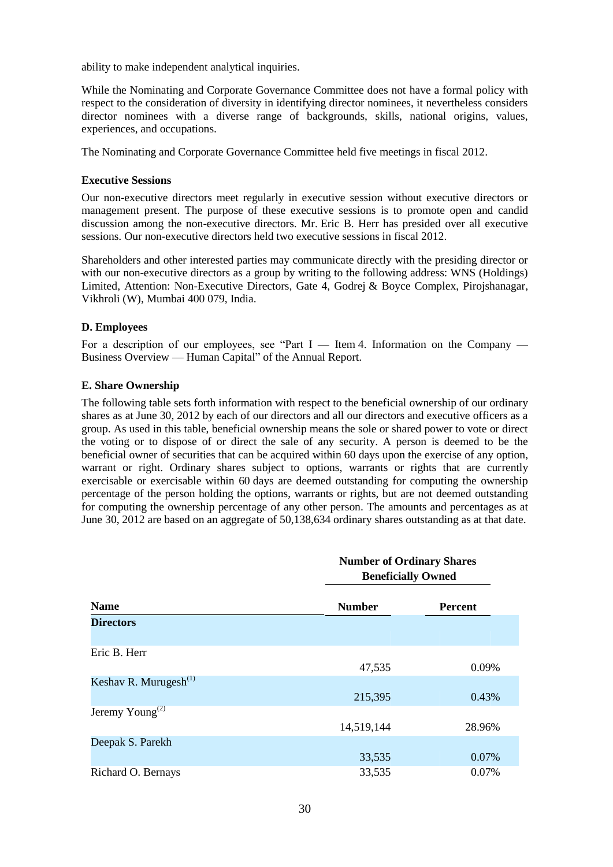ability to make independent analytical inquiries.

While the Nominating and Corporate Governance Committee does not have a formal policy with respect to the consideration of diversity in identifying director nominees, it nevertheless considers director nominees with a diverse range of backgrounds, skills, national origins, values, experiences, and occupations.

The Nominating and Corporate Governance Committee held five meetings in fiscal 2012.

### **Executive Sessions**

Our non-executive directors meet regularly in executive session without executive directors or management present. The purpose of these executive sessions is to promote open and candid discussion among the non-executive directors. Mr. Eric B. Herr has presided over all executive sessions. Our non-executive directors held two executive sessions in fiscal 2012.

Shareholders and other interested parties may communicate directly with the presiding director or with our non-executive directors as a group by writing to the following address: WNS (Holdings) Limited, Attention: Non-Executive Directors, Gate 4, Godrej & Boyce Complex, Pirojshanagar, Vikhroli (W), Mumbai 400 079, India.

### **D. Employees**

For a description of our employees, see "Part  $I$  — Item 4. Information on the Company — Business Overview — Human Capital" of the Annual Report.

### **E. Share Ownership**

The following table sets forth information with respect to the beneficial ownership of our ordinary shares as at June 30, 2012 by each of our directors and all our directors and executive officers as a group. As used in this table, beneficial ownership means the sole or shared power to vote or direct the voting or to dispose of or direct the sale of any security. A person is deemed to be the beneficial owner of securities that can be acquired within 60 days upon the exercise of any option, warrant or right. Ordinary shares subject to options, warrants or rights that are currently exercisable or exercisable within 60 days are deemed outstanding for computing the ownership percentage of the person holding the options, warrants or rights, but are not deemed outstanding for computing the ownership percentage of any other person. The amounts and percentages as at June 30, 2012 are based on an aggregate of 50,138,634 ordinary shares outstanding as at that date.

|                                   | <b>Number of Ordinary Shares</b><br><b>Beneficially Owned</b> |                |  |  |  |  |
|-----------------------------------|---------------------------------------------------------------|----------------|--|--|--|--|
| <b>Name</b>                       | <b>Number</b>                                                 | <b>Percent</b> |  |  |  |  |
| <b>Directors</b>                  |                                                               |                |  |  |  |  |
| Eric B. Herr                      | 47,535                                                        | 0.09%          |  |  |  |  |
| Keshav R. Murugesh <sup>(1)</sup> | 215,395                                                       | 0.43%          |  |  |  |  |
| Jeremy Young <sup>(2)</sup>       | 14,519,144                                                    | 28.96%         |  |  |  |  |
| Deepak S. Parekh                  | 33,535                                                        | 0.07%          |  |  |  |  |
| Richard O. Bernays                | 33,535                                                        | 0.07%          |  |  |  |  |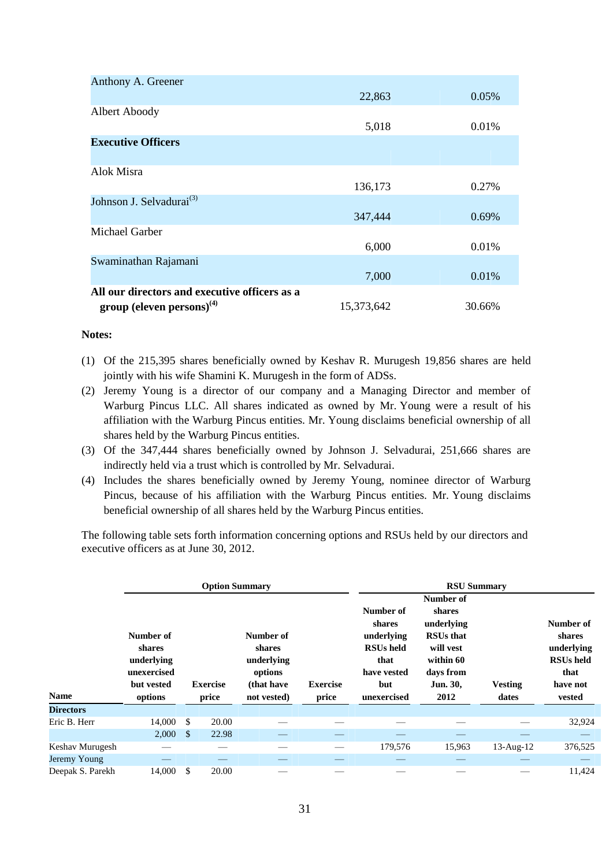| Anthony A. Greener                            |            |        |
|-----------------------------------------------|------------|--------|
|                                               | 22,863     | 0.05%  |
| Albert Aboody                                 |            |        |
|                                               | 5,018      | 0.01%  |
| <b>Executive Officers</b>                     |            |        |
| Alok Misra                                    |            |        |
|                                               | 136,173    | 0.27%  |
| Johnson J. Selvadurai <sup>(3)</sup>          |            |        |
|                                               | 347,444    | 0.69%  |
| Michael Garber                                |            |        |
|                                               | 6,000      | 0.01%  |
| Swaminathan Rajamani                          |            |        |
|                                               | 7,000      | 0.01%  |
| All our directors and executive officers as a |            |        |
| group (eleven persons) $^{(4)}$               | 15,373,642 | 30.66% |

### **Notes:**

- (1) Of the 215,395 shares beneficially owned by Keshav R. Murugesh 19,856 shares are held jointly with his wife Shamini K. Murugesh in the form of ADSs.
- (2) Jeremy Young is a director of our company and a Managing Director and member of Warburg Pincus LLC. All shares indicated as owned by Mr. Young were a result of his affiliation with the Warburg Pincus entities. Mr. Young disclaims beneficial ownership of all shares held by the Warburg Pincus entities.
- (3) Of the 347,444 shares beneficially owned by Johnson J. Selvadurai, 251,666 shares are indirectly held via a trust which is controlled by Mr. Selvadurai.
- (4) Includes the shares beneficially owned by Jeremy Young, nominee director of Warburg Pincus, because of his affiliation with the Warburg Pincus entities. Mr. Young disclaims beneficial ownership of all shares held by the Warburg Pincus entities.

The following table sets forth information concerning options and RSUs held by our directors and executive officers as at June 30, 2012.

|                  |                                                                           |              | <b>Option Summary</b>    |                                                                           |                          | <b>RSU Summary</b><br>Number of                                                                    |                                                                                                     |                         |                                                                                     |  |  |
|------------------|---------------------------------------------------------------------------|--------------|--------------------------|---------------------------------------------------------------------------|--------------------------|----------------------------------------------------------------------------------------------------|-----------------------------------------------------------------------------------------------------|-------------------------|-------------------------------------------------------------------------------------|--|--|
| <b>Name</b>      | Number of<br>shares<br>underlying<br>unexercised<br>but vested<br>options |              | <b>Exercise</b><br>price | Number of<br>shares<br>underlying<br>options<br>(that have<br>not vested) | <b>Exercise</b><br>price | Number of<br>shares<br>underlying<br><b>RSUs held</b><br>that<br>have vested<br>but<br>unexercised | shares<br>underlying<br><b>RSUs that</b><br>will vest<br>within 60<br>days from<br>Jun. 30,<br>2012 | <b>Vesting</b><br>dates | Number of<br>shares<br>underlying<br><b>RSUs</b> held<br>that<br>have not<br>vested |  |  |
| <b>Directors</b> |                                                                           |              |                          |                                                                           |                          |                                                                                                    |                                                                                                     |                         |                                                                                     |  |  |
| Eric B. Herr     | 14,000                                                                    | -S           | 20.00                    |                                                                           |                          |                                                                                                    |                                                                                                     |                         | 32,924                                                                              |  |  |
|                  | 2,000                                                                     | $\mathbb{S}$ | 22.98                    |                                                                           |                          |                                                                                                    |                                                                                                     |                         |                                                                                     |  |  |
| Keshav Murugesh  |                                                                           |              |                          |                                                                           |                          | 179,576                                                                                            | 15,963                                                                                              | $13$ -Aug- $12$         | 376,525                                                                             |  |  |
| Jeremy Young     |                                                                           |              |                          |                                                                           |                          |                                                                                                    |                                                                                                     |                         |                                                                                     |  |  |
| Deepak S. Parekh | 14,000                                                                    | \$           | 20.00                    |                                                                           |                          |                                                                                                    |                                                                                                     |                         | 11,424                                                                              |  |  |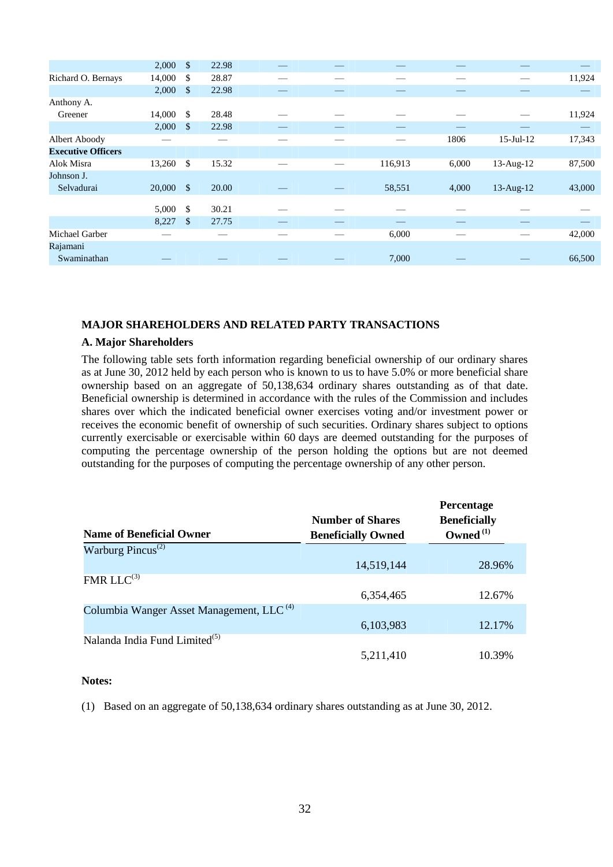|        | \$           | 22.98                 |       |         |       |                 |        |
|--------|--------------|-----------------------|-------|---------|-------|-----------------|--------|
| 14,000 | \$           | 28.87                 |       |         |       |                 | 11,924 |
| 2,000  | \$           | 22.98                 |       |         |       |                 |        |
|        |              |                       |       |         |       |                 |        |
| 14,000 | \$           | 28.48                 |       |         |       |                 | 11,924 |
| 2,000  | \$           | 22.98                 |       |         |       |                 |        |
|        |              |                       |       |         | 1806  | $15$ -Jul- $12$ | 17,343 |
|        |              |                       |       |         |       |                 |        |
|        | \$           | 15.32                 |       | 116,913 | 6,000 | 13-Aug-12       | 87,500 |
|        |              |                       |       |         |       |                 |        |
| 20,000 | $\mathbb{S}$ | 20.00                 |       | 58,551  | 4,000 | $13$ -Aug- $12$ | 43,000 |
|        |              |                       |       |         |       |                 |        |
|        |              |                       |       |         |       |                 |        |
| 8,227  | $\mathbb{S}$ | 27.75                 |       |         |       |                 |        |
|        |              |                       |       | 6,000   |       |                 | 42,000 |
|        |              |                       |       |         |       |                 |        |
|        |              |                       |       | 7,000   |       |                 | 66,500 |
|        | 5,000        | 2,000<br>13,260<br>\$ | 30.21 |         |       |                 |        |

### **MAJOR SHAREHOLDERS AND RELATED PARTY TRANSACTIONS**

#### **A. Major Shareholders**

The following table sets forth information regarding beneficial ownership of our ordinary shares as at June 30, 2012 held by each person who is known to us to have 5.0% or more beneficial share ownership based on an aggregate of 50,138,634 ordinary shares outstanding as of that date. Beneficial ownership is determined in accordance with the rules of the Commission and includes shares over which the indicated beneficial owner exercises voting and/or investment power or receives the economic benefit of ownership of such securities. Ordinary shares subject to options currently exercisable or exercisable within 60 days are deemed outstanding for the purposes of computing the percentage ownership of the person holding the options but are not deemed outstanding for the purposes of computing the percentage ownership of any other person.

|                                                      |                           | <b>Percentage</b>   |
|------------------------------------------------------|---------------------------|---------------------|
|                                                      | <b>Number of Shares</b>   | <b>Beneficially</b> |
| <b>Name of Beneficial Owner</b>                      | <b>Beneficially Owned</b> | Owned $(1)$         |
| Warburg Pincus <sup>(2)</sup>                        |                           |                     |
|                                                      | 14,519,144                | 28.96%              |
| $FMR LLC^{(3)}$                                      |                           |                     |
|                                                      | 6,354,465                 | 12.67%              |
| Columbia Wanger Asset Management, LLC <sup>(4)</sup> |                           |                     |
|                                                      | 6,103,983                 | 12.17%              |
| Nalanda India Fund Limited <sup>(5)</sup>            |                           |                     |
|                                                      | 5,211,410                 | 10.39%              |

### **Notes:**

(1) Based on an aggregate of 50,138,634 ordinary shares outstanding as at June 30, 2012.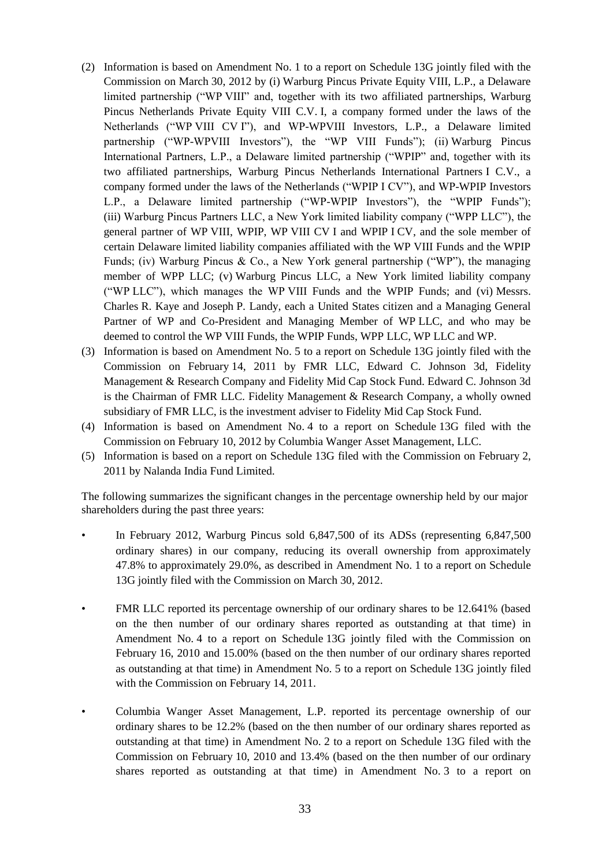- (2) Information is based on Amendment No. 1 to a report on Schedule 13G jointly filed with the Commission on March 30, 2012 by (i) Warburg Pincus Private Equity VIII, L.P., a Delaware limited partnership ("WP VIII" and, together with its two affiliated partnerships, Warburg Pincus Netherlands Private Equity VIII C.V. I, a company formed under the laws of the Netherlands ("WP VIII CV I"), and WP-WPVIII Investors, L.P., a Delaware limited partnership ("WP-WPVIII Investors"), the "WP VIII Funds"); (ii) Warburg Pincus International Partners, L.P., a Delaware limited partnership ("WPIP" and, together with its two affiliated partnerships, Warburg Pincus Netherlands International Partners I C.V., a company formed under the laws of the Netherlands ("WPIP I CV"), and WP-WPIP Investors L.P., a Delaware limited partnership ("WP-WPIP Investors"), the "WPIP Funds"); (iii) Warburg Pincus Partners LLC, a New York limited liability company ("WPP LLC"), the general partner of WP VIII, WPIP, WP VIII CV I and WPIP I CV, and the sole member of certain Delaware limited liability companies affiliated with the WP VIII Funds and the WPIP Funds; (iv) Warburg Pincus & Co., a New York general partnership ("WP"), the managing member of WPP LLC; (v) Warburg Pincus LLC, a New York limited liability company  $($ "WP LLC"), which manages the WP VIII Funds and the WPIP Funds; and  $(vi)$  Messrs. Charles R. Kaye and Joseph P. Landy, each a United States citizen and a Managing General Partner of WP and Co-President and Managing Member of WP LLC, and who may be deemed to control the WP VIII Funds, the WPIP Funds, WPP LLC, WP LLC and WP.
- (3) Information is based on Amendment No. 5 to a report on Schedule 13G jointly filed with the Commission on February 14, 2011 by FMR LLC, Edward C. Johnson 3d, Fidelity Management & Research Company and Fidelity Mid Cap Stock Fund. Edward C. Johnson 3d is the Chairman of FMR LLC. Fidelity Management & Research Company, a wholly owned subsidiary of FMR LLC, is the investment adviser to Fidelity Mid Cap Stock Fund.
- (4) Information is based on Amendment No. 4 to a report on Schedule 13G filed with the Commission on February 10, 2012 by Columbia Wanger Asset Management, LLC.
- (5) Information is based on a report on Schedule 13G filed with the Commission on February 2, 2011 by Nalanda India Fund Limited.

The following summarizes the significant changes in the percentage ownership held by our major shareholders during the past three years:

- In February 2012, Warburg Pincus sold 6,847,500 of its ADSs (representing 6,847,500) ordinary shares) in our company, reducing its overall ownership from approximately 47.8% to approximately 29.0%, as described in Amendment No. 1 to a report on Schedule 13G jointly filed with the Commission on March 30, 2012.
- FMR LLC reported its percentage ownership of our ordinary shares to be 12.641% (based on the then number of our ordinary shares reported as outstanding at that time) in Amendment No. 4 to a report on Schedule 13G jointly filed with the Commission on February 16, 2010 and 15.00% (based on the then number of our ordinary shares reported as outstanding at that time) in Amendment No. 5 to a report on Schedule 13G jointly filed with the Commission on February 14, 2011.
- Columbia Wanger Asset Management, L.P. reported its percentage ownership of our ordinary shares to be 12.2% (based on the then number of our ordinary shares reported as outstanding at that time) in Amendment No. 2 to a report on Schedule 13G filed with the Commission on February 10, 2010 and 13.4% (based on the then number of our ordinary shares reported as outstanding at that time) in Amendment No. 3 to a report on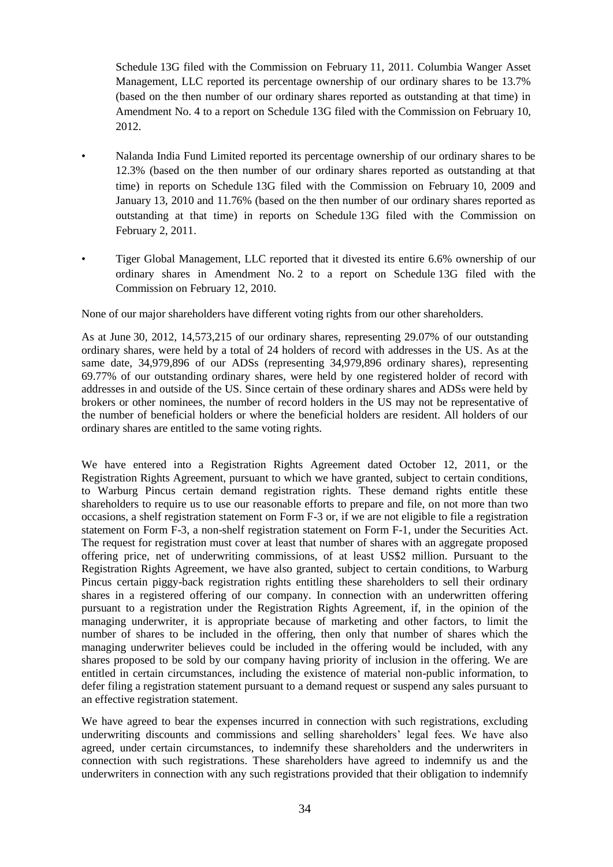Schedule 13G filed with the Commission on February 11, 2011. Columbia Wanger Asset Management, LLC reported its percentage ownership of our ordinary shares to be 13.7% (based on the then number of our ordinary shares reported as outstanding at that time) in Amendment No. 4 to a report on Schedule 13G filed with the Commission on February 10, 2012.

- Nalanda India Fund Limited reported its percentage ownership of our ordinary shares to be 12.3% (based on the then number of our ordinary shares reported as outstanding at that time) in reports on Schedule 13G filed with the Commission on February 10, 2009 and January 13, 2010 and 11.76% (based on the then number of our ordinary shares reported as outstanding at that time) in reports on Schedule 13G filed with the Commission on February 2, 2011.
- Tiger Global Management, LLC reported that it divested its entire 6.6% ownership of our ordinary shares in Amendment No. 2 to a report on Schedule 13G filed with the Commission on February 12, 2010.

None of our major shareholders have different voting rights from our other shareholders.

As at June 30, 2012, 14,573,215 of our ordinary shares, representing 29.07% of our outstanding ordinary shares, were held by a total of 24 holders of record with addresses in the US. As at the same date, 34,979,896 of our ADSs (representing 34,979,896 ordinary shares), representing 69.77% of our outstanding ordinary shares, were held by one registered holder of record with addresses in and outside of the US. Since certain of these ordinary shares and ADSs were held by brokers or other nominees, the number of record holders in the US may not be representative of the number of beneficial holders or where the beneficial holders are resident. All holders of our ordinary shares are entitled to the same voting rights.

We have entered into a Registration Rights Agreement dated October 12, 2011, or the Registration Rights Agreement, pursuant to which we have granted, subject to certain conditions, to Warburg Pincus certain demand registration rights. These demand rights entitle these shareholders to require us to use our reasonable efforts to prepare and file, on not more than two occasions, a shelf registration statement on Form F-3 or, if we are not eligible to file a registration statement on Form F-3, a non-shelf registration statement on Form F-1, under the Securities Act. The request for registration must cover at least that number of shares with an aggregate proposed offering price, net of underwriting commissions, of at least US\$2 million. Pursuant to the Registration Rights Agreement, we have also granted, subject to certain conditions, to Warburg Pincus certain piggy-back registration rights entitling these shareholders to sell their ordinary shares in a registered offering of our company. In connection with an underwritten offering pursuant to a registration under the Registration Rights Agreement, if, in the opinion of the managing underwriter, it is appropriate because of marketing and other factors, to limit the number of shares to be included in the offering, then only that number of shares which the managing underwriter believes could be included in the offering would be included, with any shares proposed to be sold by our company having priority of inclusion in the offering. We are entitled in certain circumstances, including the existence of material non-public information, to defer filing a registration statement pursuant to a demand request or suspend any sales pursuant to an effective registration statement.

We have agreed to bear the expenses incurred in connection with such registrations, excluding underwriting discounts and commissions and selling shareholders' legal fees. We have also agreed, under certain circumstances, to indemnify these shareholders and the underwriters in connection with such registrations. These shareholders have agreed to indemnify us and the underwriters in connection with any such registrations provided that their obligation to indemnify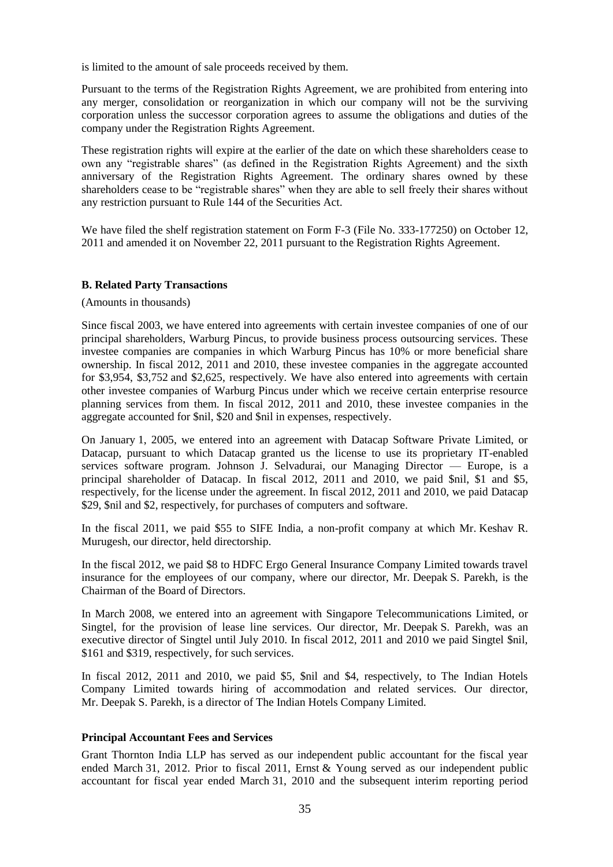is limited to the amount of sale proceeds received by them.

Pursuant to the terms of the Registration Rights Agreement, we are prohibited from entering into any merger, consolidation or reorganization in which our company will not be the surviving corporation unless the successor corporation agrees to assume the obligations and duties of the company under the Registration Rights Agreement.

These registration rights will expire at the earlier of the date on which these shareholders cease to own any "registrable shares" (as defined in the Registration Rights Agreement) and the sixth anniversary of the Registration Rights Agreement. The ordinary shares owned by these shareholders cease to be "registrable shares" when they are able to sell freely their shares without any restriction pursuant to Rule 144 of the Securities Act.

We have filed the shelf registration statement on Form F-3 (File No. 333-177250) on October 12, 2011 and amended it on November 22, 2011 pursuant to the Registration Rights Agreement.

### **B. Related Party Transactions**

(Amounts in thousands)

Since fiscal 2003, we have entered into agreements with certain investee companies of one of our principal shareholders, Warburg Pincus, to provide business process outsourcing services. These investee companies are companies in which Warburg Pincus has 10% or more beneficial share ownership. In fiscal 2012, 2011 and 2010, these investee companies in the aggregate accounted for \$3,954, \$3,752 and \$2,625, respectively. We have also entered into agreements with certain other investee companies of Warburg Pincus under which we receive certain enterprise resource planning services from them. In fiscal 2012, 2011 and 2010, these investee companies in the aggregate accounted for \$nil, \$20 and \$nil in expenses, respectively.

On January 1, 2005, we entered into an agreement with Datacap Software Private Limited, or Datacap, pursuant to which Datacap granted us the license to use its proprietary IT-enabled services software program. Johnson J. Selvadurai, our Managing Director — Europe, is a principal shareholder of Datacap. In fiscal 2012, 2011 and 2010, we paid \$nil, \$1 and \$5, respectively, for the license under the agreement. In fiscal 2012, 2011 and 2010, we paid Datacap \$29, \$nil and \$2, respectively, for purchases of computers and software.

In the fiscal 2011, we paid \$55 to SIFE India, a non-profit company at which Mr. Keshav R. Murugesh, our director, held directorship.

In the fiscal 2012, we paid \$8 to HDFC Ergo General Insurance Company Limited towards travel insurance for the employees of our company, where our director, Mr. Deepak S. Parekh, is the Chairman of the Board of Directors.

In March 2008, we entered into an agreement with Singapore Telecommunications Limited, or Singtel, for the provision of lease line services. Our director, Mr. Deepak S. Parekh, was an executive director of Singtel until July 2010. In fiscal 2012, 2011 and 2010 we paid Singtel \$nil, \$161 and \$319, respectively, for such services.

In fiscal 2012, 2011 and 2010, we paid \$5, \$nil and \$4, respectively, to The Indian Hotels Company Limited towards hiring of accommodation and related services. Our director, Mr. Deepak S. Parekh, is a director of The Indian Hotels Company Limited.

## **Principal Accountant Fees and Services**

Grant Thornton India LLP has served as our independent public accountant for the fiscal year ended March 31, 2012. Prior to fiscal 2011, Ernst & Young served as our independent public accountant for fiscal year ended March 31, 2010 and the subsequent interim reporting period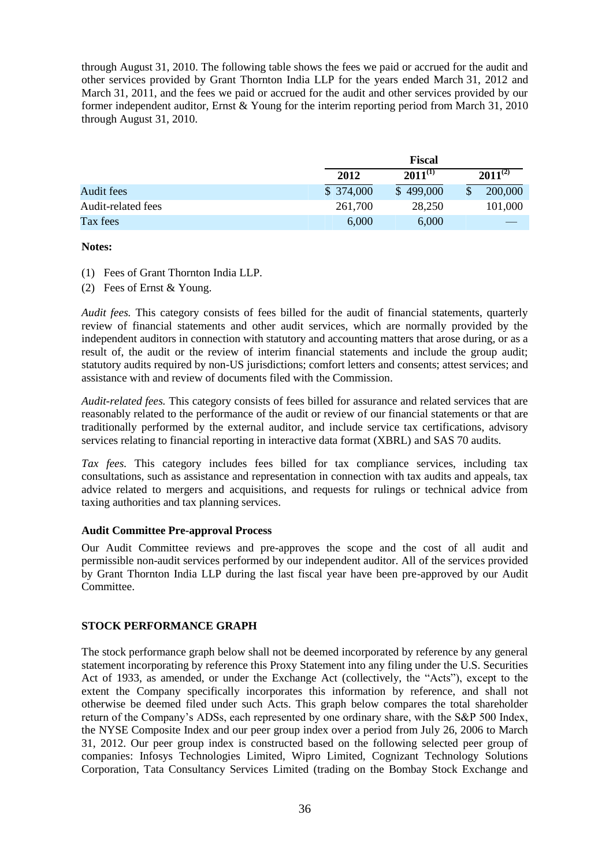through August 31, 2010. The following table shows the fees we paid or accrued for the audit and other services provided by Grant Thornton India LLP for the years ended March 31, 2012 and March 31, 2011, and the fees we paid or accrued for the audit and other services provided by our former independent auditor, Ernst & Young for the interim reporting period from March 31, 2010 through August 31, 2010.

|                    |           | <b>Fiscal</b> |  |              |  |  |
|--------------------|-----------|---------------|--|--------------|--|--|
|                    | 2012      | $2011^{(1)}$  |  | $2011^{(2)}$ |  |  |
| Audit fees         | \$374,000 | \$499,000     |  | 200,000      |  |  |
| Audit-related fees | 261,700   | 28,250        |  | 101.000      |  |  |
| Tax fees           | 6,000     | 6,000         |  |              |  |  |

### **Notes:**

- (1) Fees of Grant Thornton India LLP.
- (2) Fees of Ernst & Young.

*Audit fees.* This category consists of fees billed for the audit of financial statements, quarterly review of financial statements and other audit services, which are normally provided by the independent auditors in connection with statutory and accounting matters that arose during, or as a result of, the audit or the review of interim financial statements and include the group audit; statutory audits required by non-US jurisdictions; comfort letters and consents; attest services; and assistance with and review of documents filed with the Commission.

*Audit-related fees.* This category consists of fees billed for assurance and related services that are reasonably related to the performance of the audit or review of our financial statements or that are traditionally performed by the external auditor, and include service tax certifications, advisory services relating to financial reporting in interactive data format (XBRL) and SAS 70 audits.

*Tax fees.* This category includes fees billed for tax compliance services, including tax consultations, such as assistance and representation in connection with tax audits and appeals, tax advice related to mergers and acquisitions, and requests for rulings or technical advice from taxing authorities and tax planning services.

### **Audit Committee Pre-approval Process**

Our Audit Committee reviews and pre-approves the scope and the cost of all audit and permissible non-audit services performed by our independent auditor. All of the services provided by Grant Thornton India LLP during the last fiscal year have been pre-approved by our Audit Committee.

# **STOCK PERFORMANCE GRAPH**

The stock performance graph below shall not be deemed incorporated by reference by any general statement incorporating by reference this Proxy Statement into any filing under the U.S. Securities Act of 1933, as amended, or under the Exchange Act (collectively, the "Acts"), except to the extent the Company specifically incorporates this information by reference, and shall not otherwise be deemed filed under such Acts. This graph below compares the total shareholder return of the Company's ADSs, each represented by one ordinary share, with the S&P 500 Index, the NYSE Composite Index and our peer group index over a period from July 26, 2006 to March 31, 2012. Our peer group index is constructed based on the following selected peer group of companies: Infosys Technologies Limited, Wipro Limited, Cognizant Technology Solutions Corporation, Tata Consultancy Services Limited (trading on the Bombay Stock Exchange and